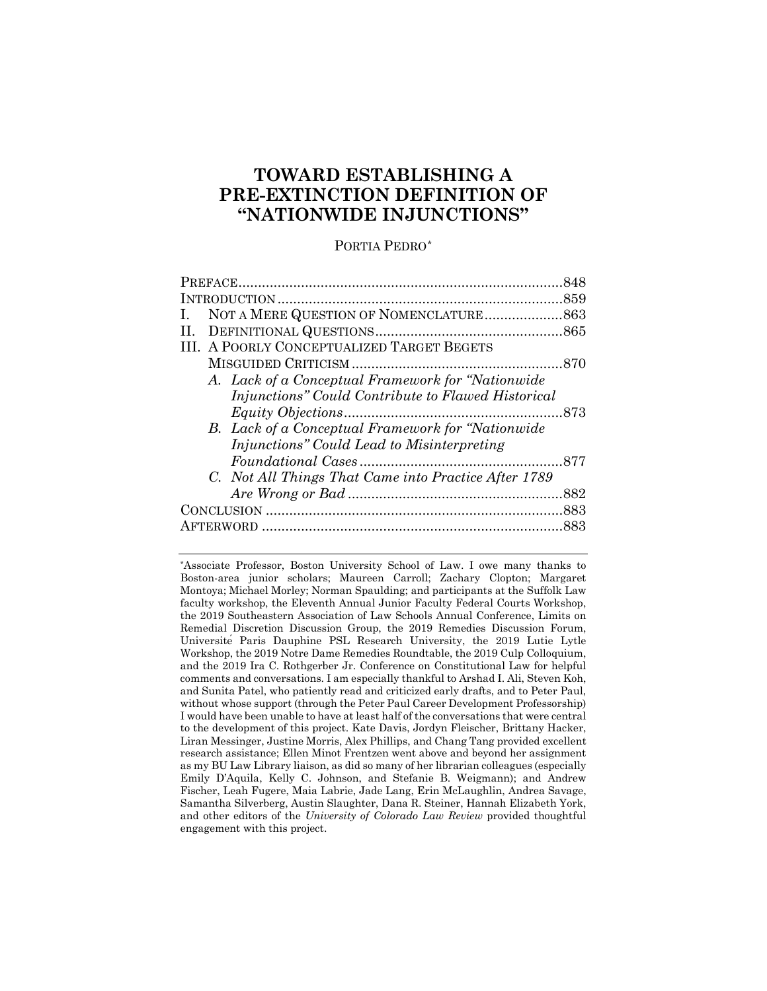# **TOWARD ESTABLISHING A PRE-EXTINCTION DEFINITION OF "NATIONWIDE INJUNCTIONS"**

PORTIA PEDRO*[\\*](#page-0-0)*

| L. |                                                           |  |
|----|-----------------------------------------------------------|--|
| H. |                                                           |  |
|    | III. A POORLY CONCEPTUALIZED TARGET BEGETS                |  |
|    |                                                           |  |
|    | A. Lack of a Conceptual Framework for "Nationwide"        |  |
|    | Injunctions" Could Contribute to Flawed Historical        |  |
|    |                                                           |  |
|    | <b>B.</b> Lack of a Conceptual Framework for "Nationwide" |  |
|    | Injunctions" Could Lead to Misinterpreting                |  |
|    |                                                           |  |
|    | C. Not All Things That Came into Practice After 1789      |  |
|    |                                                           |  |
|    |                                                           |  |
|    |                                                           |  |
|    |                                                           |  |

<span id="page-0-0"></span>\*Associate Professor, Boston University School of Law. I owe many thanks to Boston-area junior scholars; Maureen Carroll; Zachary Clopton; Margaret Montoya; Michael Morley; Norman Spaulding; and participants at the Suffolk Law faculty workshop, the Eleventh Annual Junior Faculty Federal Courts Workshop, the 2019 Southeastern Association of Law Schools Annual Conference, Limits on Remedial Discretion Discussion Group, the 2019 Remedies Discussion Forum, Université Paris Dauphine PSL Research University, the 2019 Lutie Lytle Workshop, the 2019 Notre Dame Remedies Roundtable, the 2019 Culp Colloquium, and the 2019 Ira C. Rothgerber Jr. Conference on Constitutional Law for helpful comments and conversations. I am especially thankful to Arshad I. Ali, Steven Koh, and Sunita Patel, who patiently read and criticized early drafts, and to Peter Paul, without whose support (through the Peter Paul Career Development Professorship) I would have been unable to have at least half of the conversations that were central to the development of this project. Kate Davis, Jordyn Fleischer, Brittany Hacker, Liran Messinger, Justine Morris, Alex Phillips, and Chang Tang provided excellent research assistance; Ellen Minot Frentzen went above and beyond her assignment as my BU Law Library liaison, as did so many of her librarian colleagues (especially Emily D'Aquila, Kelly C. Johnson, and Stefanie B. Weigmann); and Andrew Fischer, Leah Fugere, Maia Labrie, Jade Lang, Erin McLaughlin, Andrea Savage, Samantha Silverberg, Austin Slaughter, Dana R. Steiner, Hannah Elizabeth York, and other editors of the *University of Colorado Law Review* provided thoughtful engagement with this project.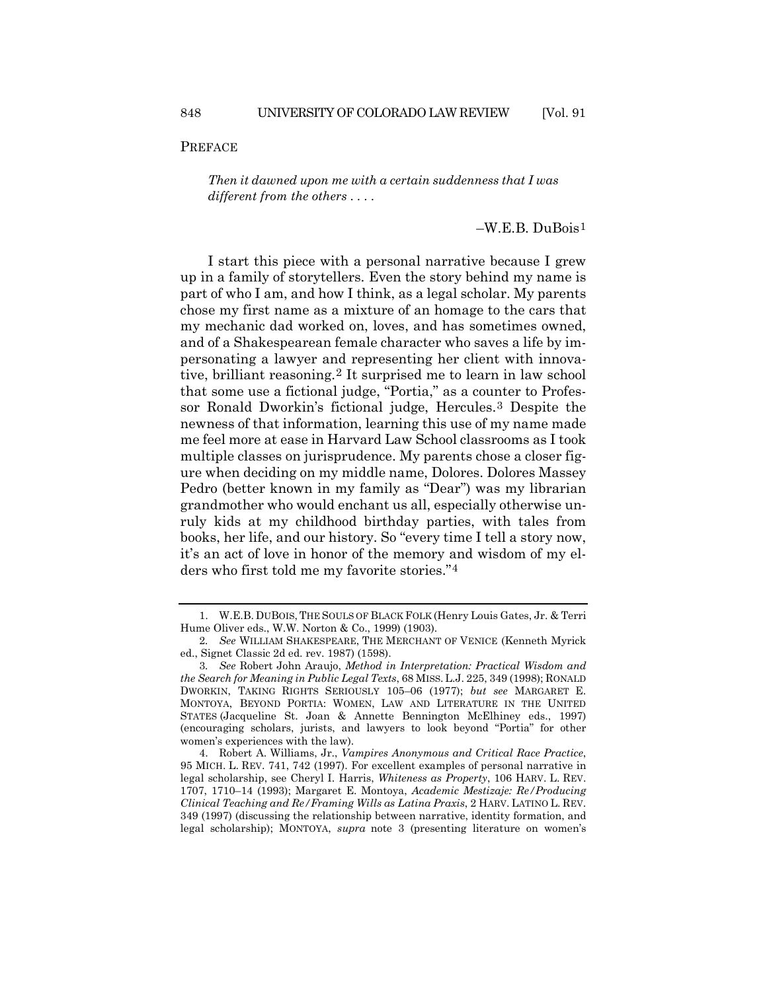PREFACE

*Then it dawned upon me with a certain suddenness that I was different from the others . . . .*

<span id="page-1-6"></span><span id="page-1-0"></span> $-W.E.B. D u Bois<sup>1</sup>$  $-W.E.B. D u Bois<sup>1</sup>$  $-W.E.B. D u Bois<sup>1</sup>$ 

I start this piece with a personal narrative because I grew up in a family of storytellers. Even the story behind my name is part of who I am, and how I think, as a legal scholar. My parents chose my first name as a mixture of an homage to the cars that my mechanic dad worked on, loves, and has sometimes owned, and of a Shakespearean female character who saves a life by impersonating a lawyer and representing her client with innovative, brilliant reasoning.[2](#page-1-2) It surprised me to learn in law school that some use a fictional judge, "Portia," as a counter to Professor Ronald Dworkin's fictional judge, Hercules.[3](#page-1-3) Despite the newness of that information, learning this use of my name made me feel more at ease in Harvard Law School classrooms as I took multiple classes on jurisprudence. My parents chose a closer figure when deciding on my middle name, Dolores. Dolores Massey Pedro (better known in my family as "Dear") was my librarian grandmother who would enchant us all, especially otherwise unruly kids at my childhood birthday parties, with tales from books, her life, and our history. So "every time I tell a story now, it's an act of love in honor of the memory and wisdom of my elders who first told me my favorite stories."[4](#page-1-4)

<span id="page-1-5"></span><span id="page-1-1"></span><sup>1.</sup> W.E.B. DUBOIS, THE SOULS OF BLACK FOLK (Henry Louis Gates, Jr. & Terri Hume Oliver eds., W.W. Norton & Co., 1999) (1903).

<span id="page-1-2"></span><sup>2</sup>*. See* WILLIAM SHAKESPEARE, THE MERCHANT OF VENICE (Kenneth Myrick ed., Signet Classic 2d ed. rev. 1987) (1598).

<span id="page-1-3"></span><sup>3</sup>*. See* Robert John Araujo, *Method in Interpretation: Practical Wisdom and the Search for Meaning in Public Legal Texts*, 68 MISS. L.J. 225, 349 (1998); RONALD DWORKIN, TAKING RIGHTS SERIOUSLY 105–06 (1977); *but see* MARGARET E. MONTOYA, BEYOND PORTIA: WOMEN, LAW AND LITERATURE IN THE UNITED STATES (Jacqueline St. Joan & Annette Bennington McElhiney eds., 1997) (encouraging scholars, jurists, and lawyers to look beyond "Portia" for other women's experiences with the law).

<span id="page-1-4"></span><sup>4.</sup> Robert A. Williams, Jr., *Vampires Anonymous and Critical Race Practice*, 95 MICH. L. REV. 741, 742 (1997). For excellent examples of personal narrative in legal scholarship, see Cheryl I. Harris, *Whiteness as Property*, 106 HARV. L. REV. 1707, 1710–14 (1993); Margaret E. Montoya, *Academic Mestizaje: Re/Producing Clinical Teaching and Re/Framing Wills as Latina Praxis*, 2 HARV. LATINO L. REV. 349 (1997) (discussing the relationship between narrative, identity formation, and legal scholarship); MONTOYA, *supra* note [3](#page-1-0) (presenting literature on women's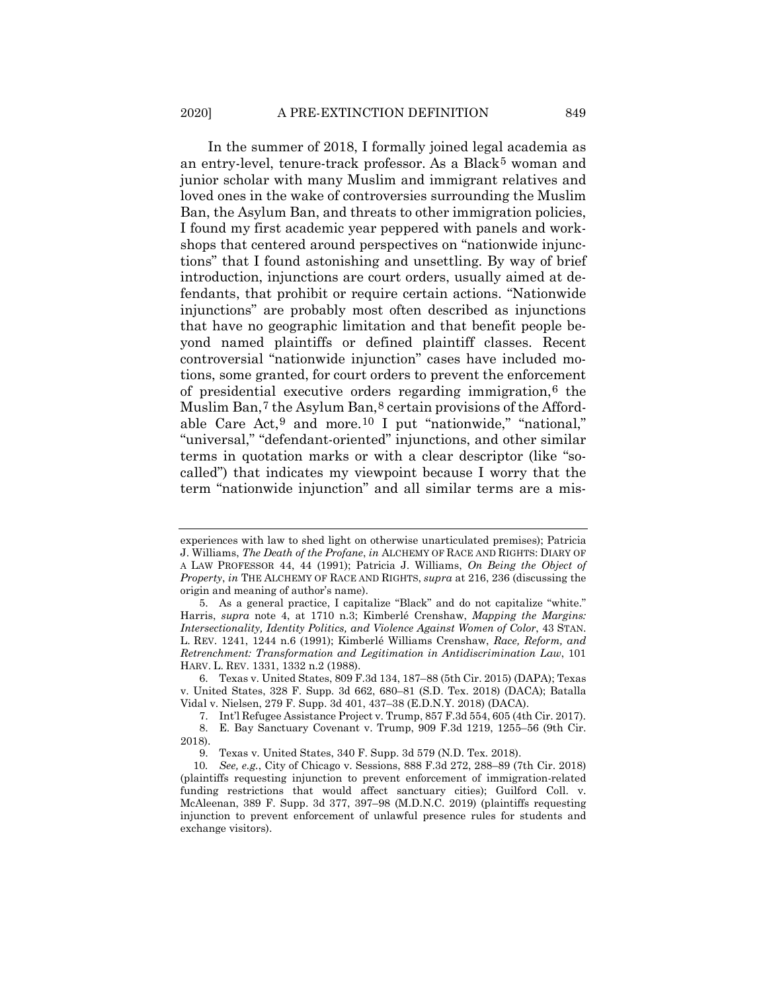In the summer of 2018, I formally joined legal academia as an entry-level, tenure-track professor. As a Black<sup>5</sup> woman and junior scholar with many Muslim and immigrant relatives and loved ones in the wake of controversies surrounding the Muslim Ban, the Asylum Ban, and threats to other immigration policies, I found my first academic year peppered with panels and workshops that centered around perspectives on "nationwide injunctions" that I found astonishing and unsettling. By way of brief introduction, injunctions are court orders, usually aimed at defendants, that prohibit or require certain actions. "Nationwide injunctions" are probably most often described as injunctions that have no geographic limitation and that benefit people beyond named plaintiffs or defined plaintiff classes. Recent controversial "nationwide injunction" cases have included motions, some granted, for court orders to prevent the enforcement of presidential executive orders regarding immigration, $6$  the Muslim Ban,<sup>[7](#page-2-2)</sup> the Asylum Ban,<sup>[8](#page-2-3)</sup> certain provisions of the Affordable Care Act,  $9$  and more.  $10$  I put "nationwide," "national," "universal," "defendant-oriented" injunctions, and other similar terms in quotation marks or with a clear descriptor (like "socalled") that indicates my viewpoint because I worry that the term "nationwide injunction" and all similar terms are a mis-

experiences with law to shed light on otherwise unarticulated premises); Patricia J. Williams, *The Death of the Profane*, *in* ALCHEMY OF RACE AND RIGHTS: DIARY OF A LAW PROFESSOR 44, 44 (1991); Patricia J. Williams, *On Being the Object of Property*, *in* THE ALCHEMY OF RACE AND RIGHTS, *supra* at 216, 236 (discussing the origin and meaning of author's name).

<span id="page-2-0"></span><sup>5.</sup> As a general practice, I capitalize "Black" and do not capitalize "white." Harris, *supra* note [4,](#page-1-5) at 1710 n.3; Kimberlé Crenshaw, *Mapping the Margins: Intersectionality, Identity Politics, and Violence Against Women of Color*, 43 STAN. L. REV. 1241, 1244 n.6 (1991); Kimberlé Williams Crenshaw, *Race, Reform, and Retrenchment: Transformation and Legitimation in Antidiscrimination Law*, 101 HARV. L. REV. 1331, 1332 n.2 (1988).

<span id="page-2-1"></span><sup>6.</sup> Texas v. United States, 809 F.3d 134, 187–88 (5th Cir. 2015) (DAPA); Texas v. United States, 328 F. Supp. 3d 662, 680–81 (S.D. Tex. 2018) (DACA); Batalla Vidal v. Nielsen, 279 F. Supp. 3d 401, 437–38 (E.D.N.Y. 2018) (DACA).

<span id="page-2-3"></span><span id="page-2-2"></span><sup>7.</sup> Int'l Refugee Assistance Project v. Trump, 857 F.3d 554, 605 (4th Cir. 2017). 8. E. Bay Sanctuary Covenant v. Trump, 909 F.3d 1219, 1255–56 (9th Cir. 2018).

<sup>9.</sup> Texas v. United States, 340 F. Supp. 3d 579 (N.D. Tex. 2018).

<span id="page-2-5"></span><span id="page-2-4"></span><sup>10</sup>*. See, e.g.*, City of Chicago v. Sessions, 888 F.3d 272, 288–89 (7th Cir. 2018) (plaintiffs requesting injunction to prevent enforcement of immigration-related funding restrictions that would affect sanctuary cities); Guilford Coll. v. McAleenan, 389 F. Supp. 3d 377, 397–98 (M.D.N.C. 2019) (plaintiffs requesting injunction to prevent enforcement of unlawful presence rules for students and exchange visitors).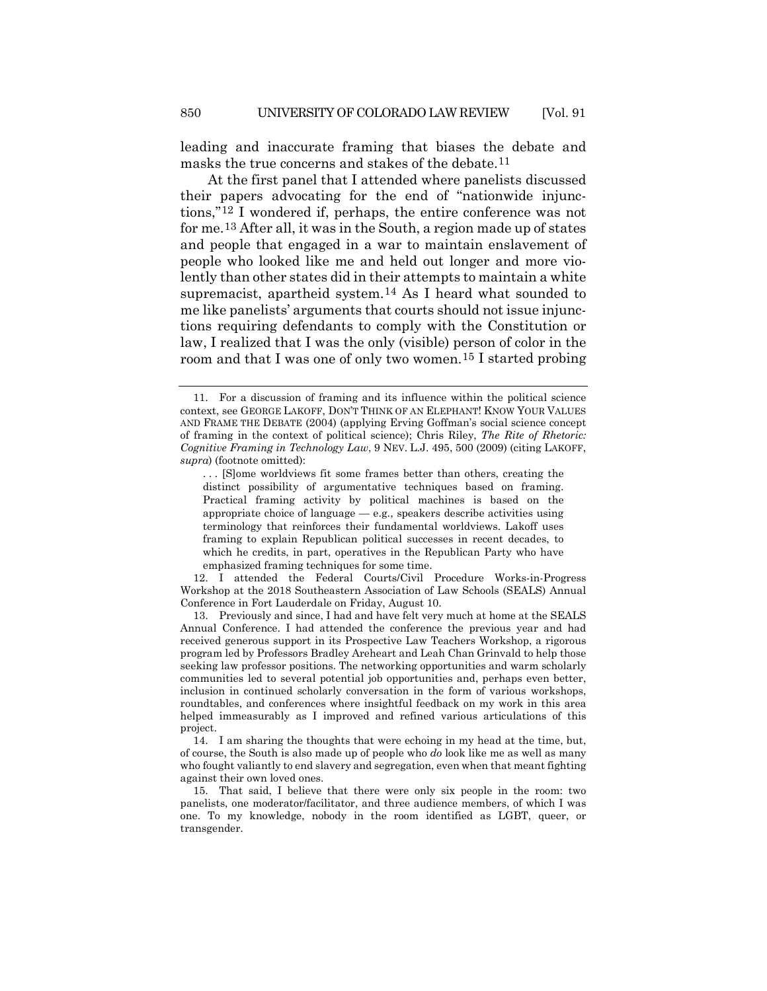leading and inaccurate framing that biases the debate and masks the true concerns and stakes of the debate.[11](#page-3-0)

At the first panel that I attended where panelists discussed their papers advocating for the end of "nationwide injunctions,"[12](#page-3-1) I wondered if, perhaps, the entire conference was not for me.[13](#page-3-2) After all, it was in the South, a region made up of states and people that engaged in a war to maintain enslavement of people who looked like me and held out longer and more violently than other states did in their attempts to maintain a white supremacist, apartheid system.[14](#page-3-3) As I heard what sounded to me like panelists' arguments that courts should not issue injunctions requiring defendants to comply with the Constitution or law, I realized that I was the only (visible) person of color in the room and that I was one of only two women.[15](#page-3-4) I started probing

<span id="page-3-0"></span><sup>11.</sup> For a discussion of framing and its influence within the political science context, see GEORGE LAKOFF, DON'T THINK OF AN ELEPHANT! KNOW YOUR VALUES AND FRAME THE DEBATE (2004) (applying Erving Goffman's social science concept of framing in the context of political science); Chris Riley, *The Rite of Rhetoric: Cognitive Framing in Technology Law*, 9 NEV. L.J. 495, 500 (2009) (citing LAKOFF, *supra*) (footnote omitted):

<sup>.</sup> . . [S]ome worldviews fit some frames better than others, creating the distinct possibility of argumentative techniques based on framing. Practical framing activity by political machines is based on the appropriate choice of language — e.g., speakers describe activities using terminology that reinforces their fundamental worldviews. Lakoff uses framing to explain Republican political successes in recent decades, to which he credits, in part, operatives in the Republican Party who have emphasized framing techniques for some time.

<span id="page-3-1"></span><sup>12.</sup> I attended the Federal Courts/Civil Procedure Works-in-Progress Workshop at the 2018 Southeastern Association of Law Schools (SEALS) Annual Conference in Fort Lauderdale on Friday, August 10.

<span id="page-3-2"></span><sup>13.</sup> Previously and since, I had and have felt very much at home at the SEALS Annual Conference. I had attended the conference the previous year and had received generous support in its Prospective Law Teachers Workshop, a rigorous program led by Professors Bradley Areheart and Leah Chan Grinvald to help those seeking law professor positions. The networking opportunities and warm scholarly communities led to several potential job opportunities and, perhaps even better, inclusion in continued scholarly conversation in the form of various workshops, roundtables, and conferences where insightful feedback on my work in this area helped immeasurably as I improved and refined various articulations of this project.

<span id="page-3-3"></span><sup>14.</sup> I am sharing the thoughts that were echoing in my head at the time, but, of course, the South is also made up of people who *do* look like me as well as many who fought valiantly to end slavery and segregation, even when that meant fighting against their own loved ones.

<span id="page-3-4"></span><sup>15.</sup> That said, I believe that there were only six people in the room: two panelists, one moderator/facilitator, and three audience members, of which I was one. To my knowledge, nobody in the room identified as LGBT, queer, or transgender.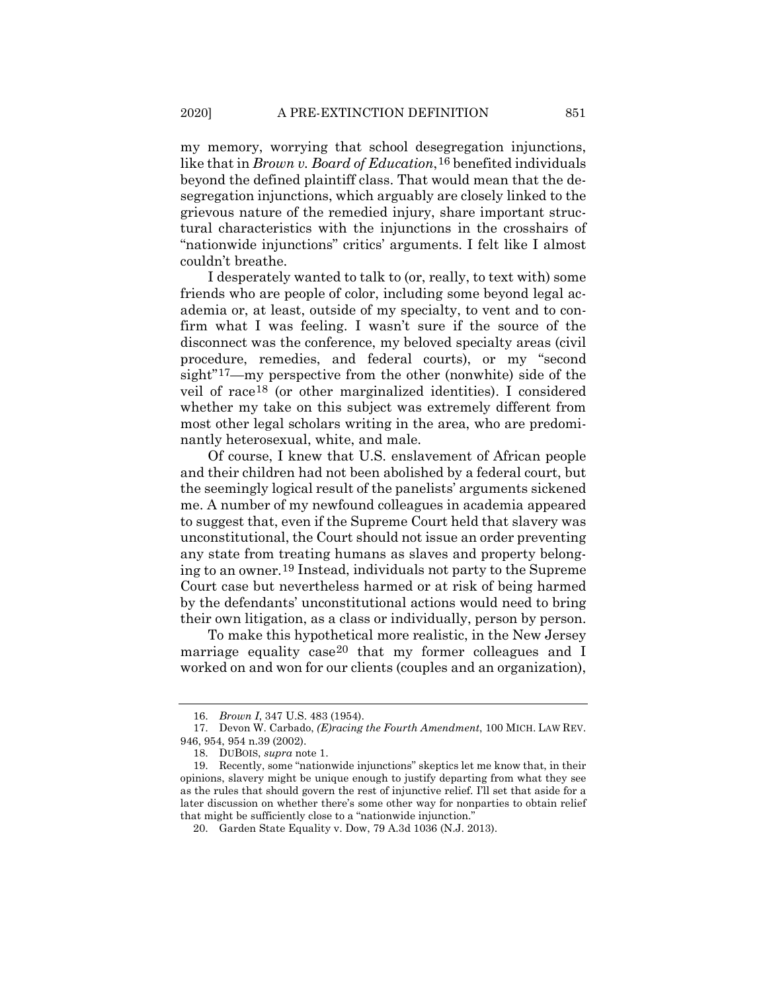my memory, worrying that school desegregation injunctions, like that in *Brown v. Board of Education*,[16](#page-4-0) benefited individuals beyond the defined plaintiff class. That would mean that the desegregation injunctions, which arguably are closely linked to the grievous nature of the remedied injury, share important structural characteristics with the injunctions in the crosshairs of "nationwide injunctions" critics' arguments. I felt like I almost couldn't breathe.

I desperately wanted to talk to (or, really, to text with) some friends who are people of color, including some beyond legal academia or, at least, outside of my specialty, to vent and to confirm what I was feeling. I wasn't sure if the source of the disconnect was the conference, my beloved specialty areas (civil procedure, remedies, and federal courts), or my "second sight"[17—](#page-4-1)my perspective from the other (nonwhite) side of the veil of race[18](#page-4-2) (or other marginalized identities). I considered whether my take on this subject was extremely different from most other legal scholars writing in the area, who are predominantly heterosexual, white, and male.

Of course, I knew that U.S. enslavement of African people and their children had not been abolished by a federal court, but the seemingly logical result of the panelists' arguments sickened me. A number of my newfound colleagues in academia appeared to suggest that, even if the Supreme Court held that slavery was unconstitutional, the Court should not issue an order preventing any state from treating humans as slaves and property belonging to an owner.[19](#page-4-3) Instead, individuals not party to the Supreme Court case but nevertheless harmed or at risk of being harmed by the defendants' unconstitutional actions would need to bring their own litigation, as a class or individually, person by person.

To make this hypothetical more realistic, in the New Jersey marriage equality case<sup>[20](#page-4-4)</sup> that my former colleagues and I worked on and won for our clients (couples and an organization),

<sup>16.</sup> *Brown I*, 347 U.S. 483 (1954).

<span id="page-4-1"></span><span id="page-4-0"></span><sup>17.</sup> Devon W. Carbado, *(E)racing the Fourth Amendment*, 100 MICH. LAW REV. 946, 954, 954 n.39 (2002).

<sup>18.</sup> DUBOIS, *supra* note [1.](#page-1-6)

<span id="page-4-4"></span><span id="page-4-3"></span><span id="page-4-2"></span><sup>19.</sup> Recently, some "nationwide injunctions" skeptics let me know that, in their opinions, slavery might be unique enough to justify departing from what they see as the rules that should govern the rest of injunctive relief. I'll set that aside for a later discussion on whether there's some other way for nonparties to obtain relief that might be sufficiently close to a "nationwide injunction."

<sup>20.</sup> Garden State Equality v. Dow, 79 A.3d 1036 (N.J. 2013).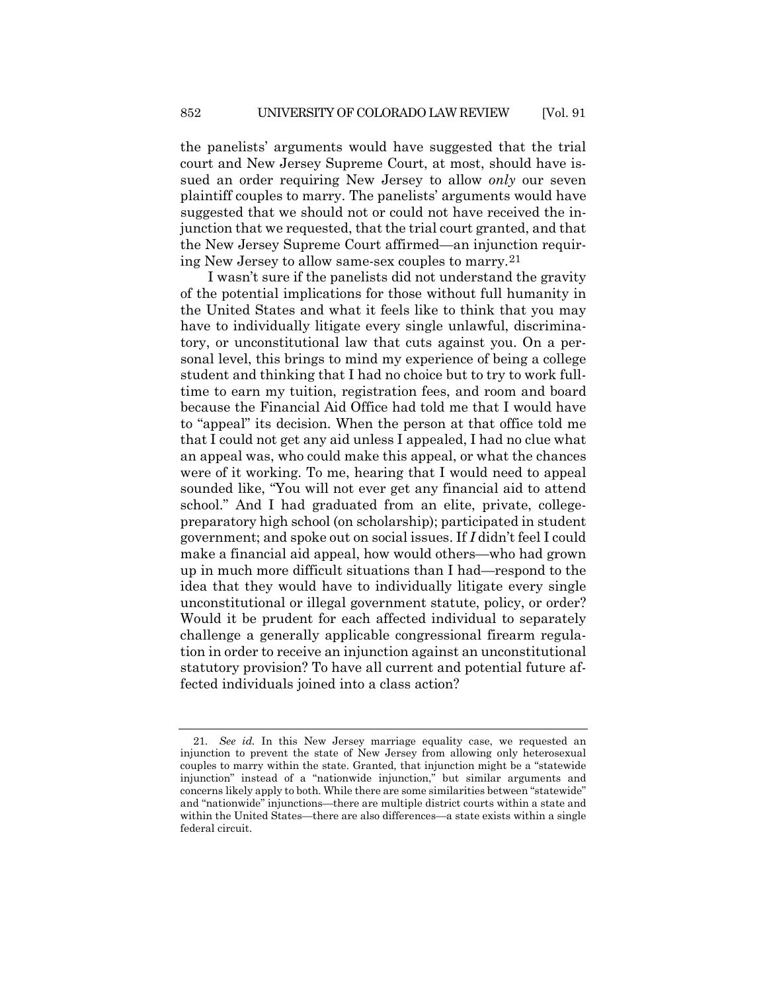the panelists' arguments would have suggested that the trial court and New Jersey Supreme Court, at most, should have issued an order requiring New Jersey to allow *only* our seven plaintiff couples to marry. The panelists' arguments would have suggested that we should not or could not have received the injunction that we requested, that the trial court granted, and that the New Jersey Supreme Court affirmed—an injunction requiring New Jersey to allow same-sex couples to marry[.21](#page-5-0)

I wasn't sure if the panelists did not understand the gravity of the potential implications for those without full humanity in the United States and what it feels like to think that you may have to individually litigate every single unlawful, discriminatory, or unconstitutional law that cuts against you. On a personal level, this brings to mind my experience of being a college student and thinking that I had no choice but to try to work fulltime to earn my tuition, registration fees, and room and board because the Financial Aid Office had told me that I would have to "appeal" its decision. When the person at that office told me that I could not get any aid unless I appealed, I had no clue what an appeal was, who could make this appeal, or what the chances were of it working. To me, hearing that I would need to appeal sounded like, "You will not ever get any financial aid to attend school." And I had graduated from an elite, private, collegepreparatory high school (on scholarship); participated in student government; and spoke out on social issues. If *I* didn't feel I could make a financial aid appeal, how would others—who had grown up in much more difficult situations than I had—respond to the idea that they would have to individually litigate every single unconstitutional or illegal government statute, policy, or order? Would it be prudent for each affected individual to separately challenge a generally applicable congressional firearm regulation in order to receive an injunction against an unconstitutional statutory provision? To have all current and potential future affected individuals joined into a class action?

<span id="page-5-0"></span><sup>21</sup>*. See id.* In this New Jersey marriage equality case, we requested an injunction to prevent the state of New Jersey from allowing only heterosexual couples to marry within the state. Granted, that injunction might be a "statewide injunction" instead of a "nationwide injunction," but similar arguments and concerns likely apply to both. While there are some similarities between "statewide" and "nationwide" injunctions—there are multiple district courts within a state and within the United States—there are also differences—a state exists within a single federal circuit.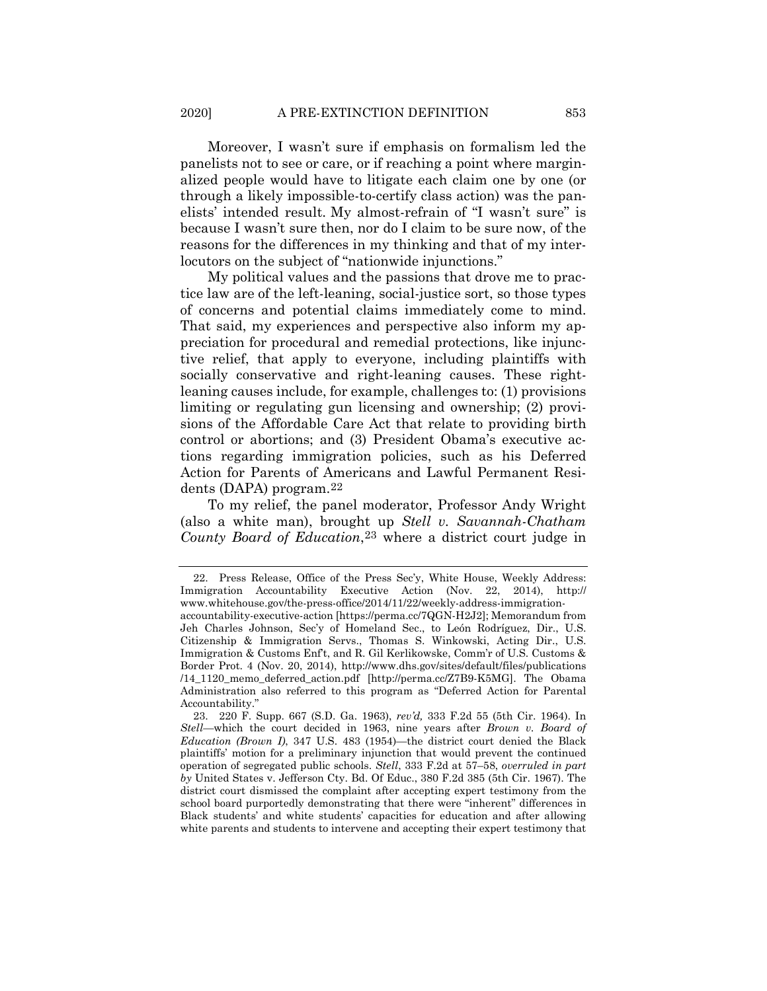Moreover, I wasn't sure if emphasis on formalism led the panelists not to see or care, or if reaching a point where marginalized people would have to litigate each claim one by one (or through a likely impossible-to-certify class action) was the panelists' intended result. My almost-refrain of "I wasn't sure" is because I wasn't sure then, nor do I claim to be sure now, of the reasons for the differences in my thinking and that of my interlocutors on the subject of "nationwide injunctions."

My political values and the passions that drove me to practice law are of the left-leaning, social-justice sort, so those types of concerns and potential claims immediately come to mind. That said, my experiences and perspective also inform my appreciation for procedural and remedial protections, like injunctive relief, that apply to everyone, including plaintiffs with socially conservative and right-leaning causes. These rightleaning causes include, for example, challenges to: (1) provisions limiting or regulating gun licensing and ownership; (2) provisions of the Affordable Care Act that relate to providing birth control or abortions; and (3) President Obama's executive actions regarding immigration policies, such as his Deferred Action for Parents of Americans and Lawful Permanent Residents (DAPA) program.[22](#page-6-0)

To my relief, the panel moderator, Professor Andy Wright (also a white man), brought up *Stell v. Savannah-Chatham County Board of Education*,[23](#page-6-1) where a district court judge in

<span id="page-6-0"></span><sup>22.</sup> Press Release, Office of the Press Sec'y, White House, Weekly Address: Immigration Accountability Executive Action (Nov. 22, 2014), http:// www.whitehouse.gov/the-press-office/2014/11/22/weekly-address-immigrationaccountability-executive-action [https://perma.cc/7QGN-H2J2]; Memorandum from Jeh Charles Johnson, Sec'y of Homeland Sec., to León Rodríguez, Dir., U.S. Citizenship & Immigration Servs., Thomas S. Winkowski, Acting Dir., U.S. Immigration & Customs Enf't, and R. Gil Kerlikowske, Comm'r of U.S. Customs & Border Prot. 4 (Nov. 20, 2014), http://www.dhs.gov/sites/default/files/publications /14\_1120\_memo\_deferred\_action.pdf [http://perma.cc/Z7B9-K5MG]. The Obama Administration also referred to this program as "Deferred Action for Parental Accountability."

<span id="page-6-1"></span><sup>23.</sup> 220 F. Supp. 667 (S.D. Ga. 1963), *rev'd,* 333 F.2d 55 (5th Cir. 1964). In *Stell*—which the court decided in 1963, nine years after *Brown v. Board of Education (Brown I)*, 347 U.S. 483 (1954)—the district court denied the Black plaintiffs' motion for a preliminary injunction that would prevent the continued operation of segregated public schools. *Stell*, 333 F.2d at 57–58, *overruled in part by* United States v. Jefferson Cty. Bd. Of Educ., 380 F.2d 385 (5th Cir. 1967). The district court dismissed the complaint after accepting expert testimony from the school board purportedly demonstrating that there were "inherent" differences in Black students' and white students' capacities for education and after allowing white parents and students to intervene and accepting their expert testimony that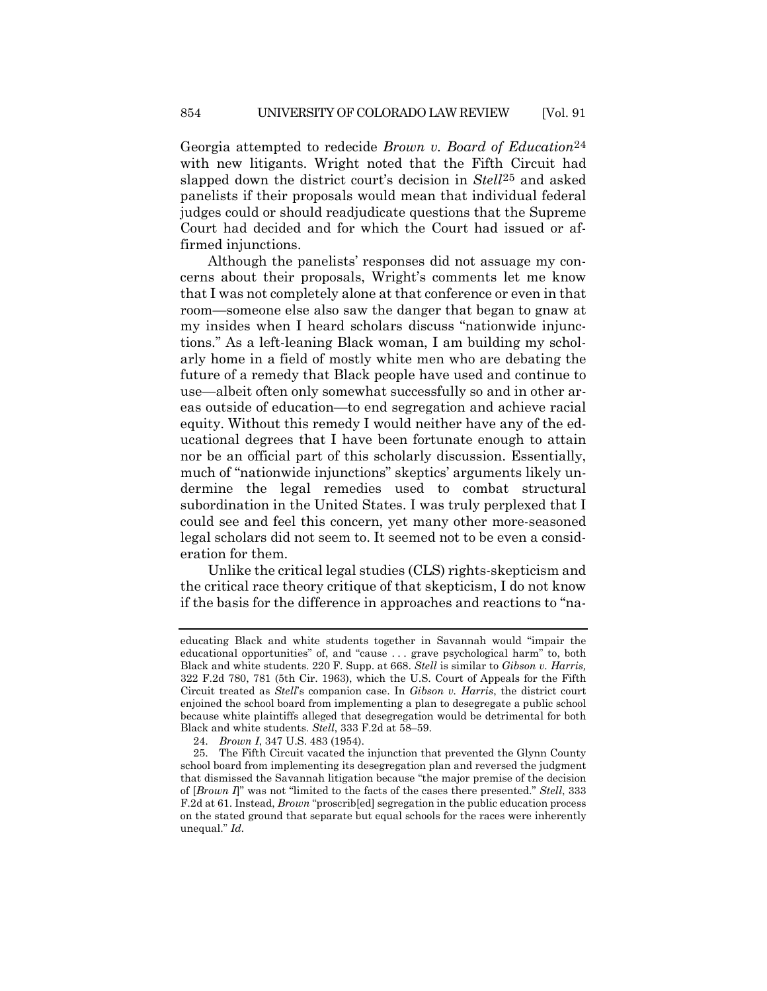Georgia attempted to redecide *Brown v. Board of Education*[24](#page-7-0) with new litigants. Wright noted that the Fifth Circuit had slapped down the district court's decision in *Stell*[25](#page-7-1) and asked panelists if their proposals would mean that individual federal judges could or should readjudicate questions that the Supreme Court had decided and for which the Court had issued or affirmed injunctions.

Although the panelists' responses did not assuage my concerns about their proposals, Wright's comments let me know that I was not completely alone at that conference or even in that room—someone else also saw the danger that began to gnaw at my insides when I heard scholars discuss "nationwide injunctions." As a left-leaning Black woman, I am building my scholarly home in a field of mostly white men who are debating the future of a remedy that Black people have used and continue to use—albeit often only somewhat successfully so and in other areas outside of education—to end segregation and achieve racial equity. Without this remedy I would neither have any of the educational degrees that I have been fortunate enough to attain nor be an official part of this scholarly discussion. Essentially, much of "nationwide injunctions" skeptics' arguments likely undermine the legal remedies used to combat structural subordination in the United States. I was truly perplexed that I could see and feel this concern, yet many other more-seasoned legal scholars did not seem to. It seemed not to be even a consideration for them.

Unlike the critical legal studies (CLS) rights-skepticism and the critical race theory critique of that skepticism, I do not know if the basis for the difference in approaches and reactions to "na-

educating Black and white students together in Savannah would "impair the educational opportunities" of, and "cause . . . grave psychological harm" to, both Black and white students. 220 F. Supp. at 668. *Stell* is similar to *Gibson v. Harris,* 322 F.2d 780, 781 (5th Cir. 1963), which the U.S. Court of Appeals for the Fifth Circuit treated as *Stell*'s companion case. In *Gibson v. Harris*, the district court enjoined the school board from implementing a plan to desegregate a public school because white plaintiffs alleged that desegregation would be detrimental for both Black and white students. *Stell*, 333 F.2d at 58–59.

<sup>24.</sup> *Brown I*, 347 U.S. 483 (1954).

<span id="page-7-1"></span><span id="page-7-0"></span><sup>25.</sup> The Fifth Circuit vacated the injunction that prevented the Glynn County school board from implementing its desegregation plan and reversed the judgment that dismissed the Savannah litigation because "the major premise of the decision of [*Brown I*]" was not "limited to the facts of the cases there presented." *Stell*, 333 F.2d at 61. Instead, *Brown* "proscrib[ed] segregation in the public education process on the stated ground that separate but equal schools for the races were inherently unequal." *Id.*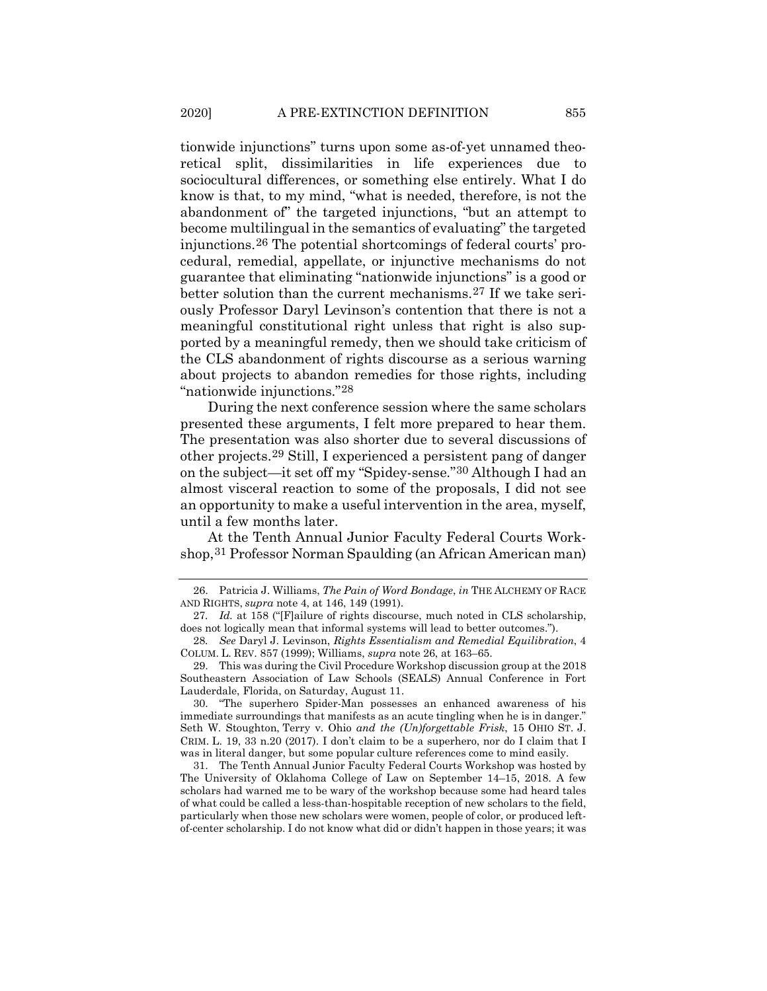<span id="page-8-0"></span>tionwide injunctions" turns upon some as-of-yet unnamed theoretical split, dissimilarities in life experiences due to sociocultural differences, or something else entirely. What I do know is that, to my mind, "what is needed, therefore, is not the abandonment of" the targeted injunctions, "but an attempt to become multilingual in the semantics of evaluating" the targeted injunctions.[26](#page-8-1) The potential shortcomings of federal courts' procedural, remedial, appellate, or injunctive mechanisms do not guarantee that eliminating "nationwide injunctions" is a good or better solution than the current mechanisms.[27](#page-8-2) If we take seriously Professor Daryl Levinson's contention that there is not a meaningful constitutional right unless that right is also supported by a meaningful remedy, then we should take criticism of the CLS abandonment of rights discourse as a serious warning about projects to abandon remedies for those rights, including "nationwide injunctions."[28](#page-8-3)

During the next conference session where the same scholars presented these arguments, I felt more prepared to hear them. The presentation was also shorter due to several discussions of other projects.[29](#page-8-4) Still, I experienced a persistent pang of danger on the subject—it set off my "Spidey-sense.["30](#page-8-5) Although I had an almost visceral reaction to some of the proposals, I did not see an opportunity to make a useful intervention in the area, myself, until a few months later.

At the Tenth Annual Junior Faculty Federal Courts Workshop,[31](#page-8-6) Professor Norman Spaulding (an African American man)

<span id="page-8-1"></span><sup>26.</sup> Patricia J. Williams, *The Pain of Word Bondage*, *in* THE ALCHEMY OF RACE AND RIGHTS, *supra* note [4,](#page-1-5) at 146, 149 (1991).

<span id="page-8-2"></span><sup>27</sup>*. Id.* at 158 ("[F]ailure of rights discourse, much noted in CLS scholarship, does not logically mean that informal systems will lead to better outcomes.").

<span id="page-8-3"></span><sup>28</sup>*. See* Daryl J. Levinson, *Rights Essentialism and Remedial Equilibration*, 4 COLUM. L. REV. 857 (1999); Williams, *supra* note [26,](#page-8-0) at 163–65.

<span id="page-8-4"></span><sup>29.</sup> This was during the Civil Procedure Workshop discussion group at the 2018 Southeastern Association of Law Schools (SEALS) Annual Conference in Fort Lauderdale, Florida, on Saturday, August 11.

<span id="page-8-5"></span><sup>30.</sup> "The superhero Spider-Man possesses an enhanced awareness of his immediate surroundings that manifests as an acute tingling when he is in danger." Seth W. Stoughton, Terry v. Ohio *and the (Un)forgettable Frisk*, 15 OHIO ST. J. CRIM. L. 19, 33 n.20 (2017). I don't claim to be a superhero, nor do I claim that I was in literal danger, but some popular culture references come to mind easily.

<span id="page-8-6"></span><sup>31.</sup> The Tenth Annual Junior Faculty Federal Courts Workshop was hosted by The University of Oklahoma College of Law on September 14–15, 2018. A few scholars had warned me to be wary of the workshop because some had heard tales of what could be called a less-than-hospitable reception of new scholars to the field, particularly when those new scholars were women, people of color, or produced leftof-center scholarship. I do not know what did or didn't happen in those years; it was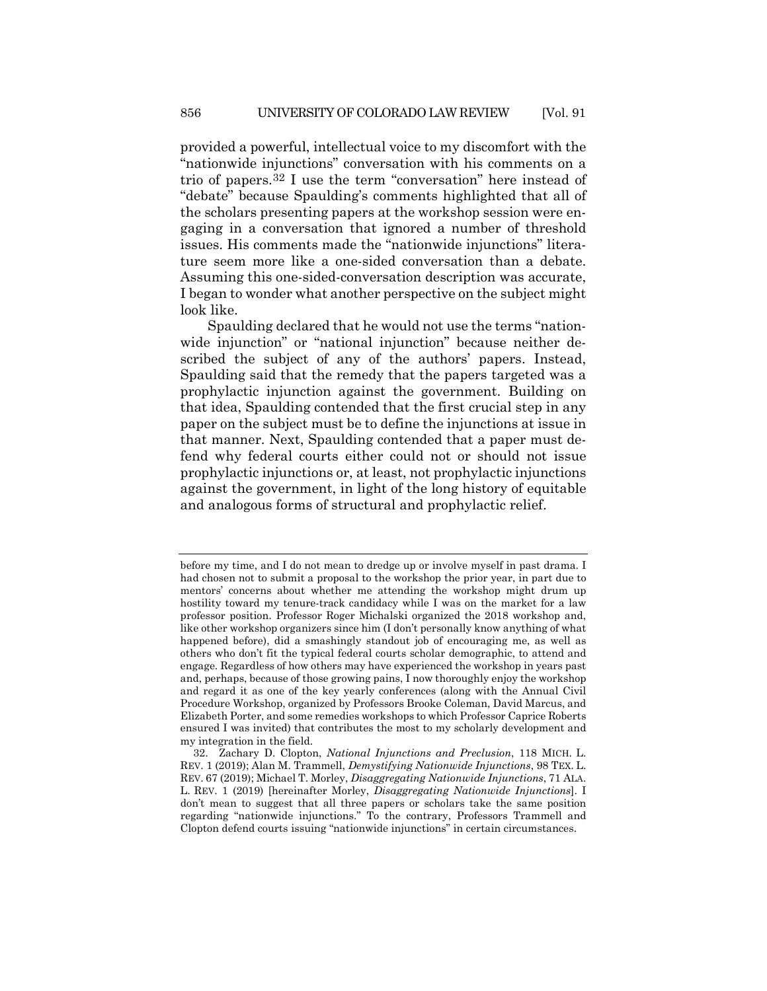<span id="page-9-1"></span>provided a powerful, intellectual voice to my discomfort with the "nationwide injunctions" conversation with his comments on a trio of papers.[32](#page-9-0) I use the term "conversation" here instead of "debate" because Spaulding's comments highlighted that all of the scholars presenting papers at the workshop session were engaging in a conversation that ignored a number of threshold issues. His comments made the "nationwide injunctions" literature seem more like a one-sided conversation than a debate. Assuming this one-sided-conversation description was accurate, I began to wonder what another perspective on the subject might look like.

Spaulding declared that he would not use the terms "nationwide injunction" or "national injunction" because neither described the subject of any of the authors' papers. Instead, Spaulding said that the remedy that the papers targeted was a prophylactic injunction against the government. Building on that idea, Spaulding contended that the first crucial step in any paper on the subject must be to define the injunctions at issue in that manner. Next, Spaulding contended that a paper must defend why federal courts either could not or should not issue prophylactic injunctions or, at least, not prophylactic injunctions against the government, in light of the long history of equitable and analogous forms of structural and prophylactic relief.

before my time, and I do not mean to dredge up or involve myself in past drama. I had chosen not to submit a proposal to the workshop the prior year, in part due to mentors' concerns about whether me attending the workshop might drum up hostility toward my tenure-track candidacy while I was on the market for a law professor position. Professor Roger Michalski organized the 2018 workshop and, like other workshop organizers since him (I don't personally know anything of what happened before), did a smashingly standout job of encouraging me, as well as others who don't fit the typical federal courts scholar demographic, to attend and engage. Regardless of how others may have experienced the workshop in years past and, perhaps, because of those growing pains, I now thoroughly enjoy the workshop and regard it as one of the key yearly conferences (along with the Annual Civil Procedure Workshop, organized by Professors Brooke Coleman, David Marcus, and Elizabeth Porter, and some remedies workshops to which Professor Caprice Roberts ensured I was invited) that contributes the most to my scholarly development and my integration in the field.

<span id="page-9-0"></span><sup>32.</sup> Zachary D. Clopton, *National Injunctions and Preclusion*, 118 MICH. L. REV. 1 (2019); Alan M. Trammell, *Demystifying Nationwide Injunctions*, 98 TEX. L. REV. 67 (2019); Michael T. Morley, *Disaggregating Nationwide Injunctions*, 71 ALA. L. REV. 1 (2019) [hereinafter Morley, *Disaggregating Nationwide Injunctions*]. I don't mean to suggest that all three papers or scholars take the same position regarding "nationwide injunctions." To the contrary, Professors Trammell and Clopton defend courts issuing "nationwide injunctions" in certain circumstances.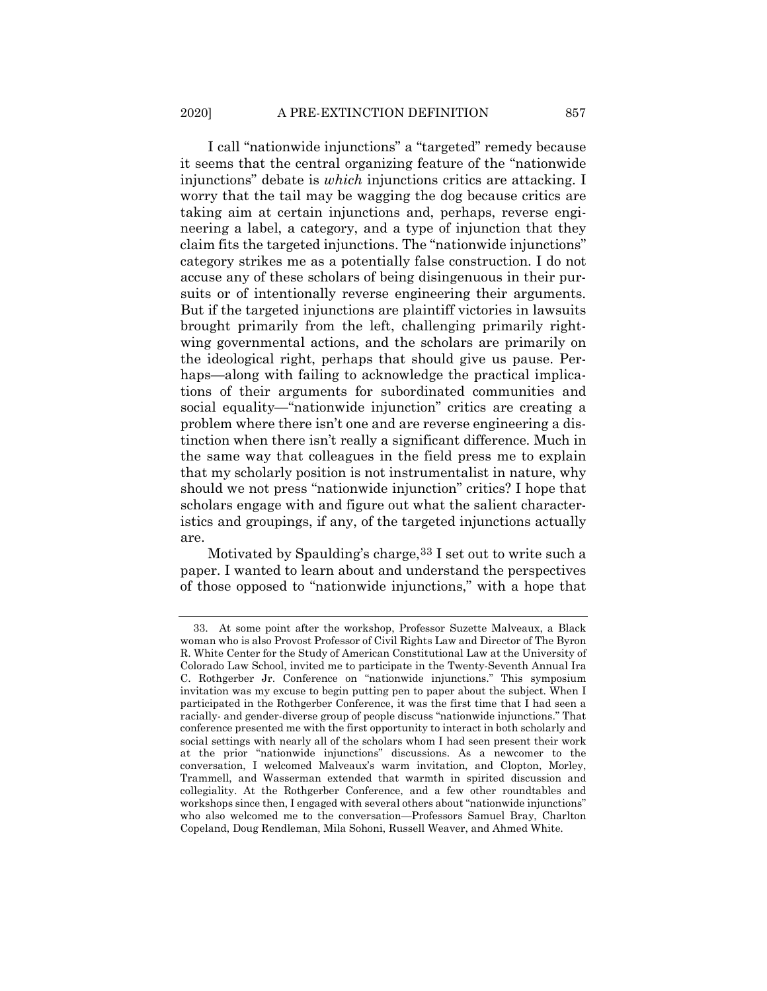I call "nationwide injunctions" a "targeted" remedy because it seems that the central organizing feature of the "nationwide injunctions" debate is *which* injunctions critics are attacking. I worry that the tail may be wagging the dog because critics are taking aim at certain injunctions and, perhaps, reverse engineering a label, a category, and a type of injunction that they claim fits the targeted injunctions. The "nationwide injunctions" category strikes me as a potentially false construction. I do not accuse any of these scholars of being disingenuous in their pursuits or of intentionally reverse engineering their arguments. But if the targeted injunctions are plaintiff victories in lawsuits brought primarily from the left, challenging primarily rightwing governmental actions, and the scholars are primarily on the ideological right, perhaps that should give us pause. Perhaps—along with failing to acknowledge the practical implications of their arguments for subordinated communities and social equality—"nationwide injunction" critics are creating a problem where there isn't one and are reverse engineering a distinction when there isn't really a significant difference. Much in the same way that colleagues in the field press me to explain that my scholarly position is not instrumentalist in nature, why should we not press "nationwide injunction" critics? I hope that scholars engage with and figure out what the salient characteristics and groupings, if any, of the targeted injunctions actually are.

Motivated by Spaulding's charge, [33](#page-10-0) I set out to write such a paper. I wanted to learn about and understand the perspectives of those opposed to "nationwide injunctions," with a hope that

<span id="page-10-0"></span><sup>33.</sup> At some point after the workshop, Professor Suzette Malveaux, a Black woman who is also Provost Professor of Civil Rights Law and Director of The Byron R. White Center for the Study of American Constitutional Law at the University of Colorado Law School, invited me to participate in the Twenty-Seventh Annual Ira C. Rothgerber Jr. Conference on "nationwide injunctions." This symposium invitation was my excuse to begin putting pen to paper about the subject. When I participated in the Rothgerber Conference, it was the first time that I had seen a racially- and gender-diverse group of people discuss "nationwide injunctions." That conference presented me with the first opportunity to interact in both scholarly and social settings with nearly all of the scholars whom I had seen present their work at the prior "nationwide injunctions" discussions. As a newcomer to the conversation, I welcomed Malveaux's warm invitation, and Clopton, Morley, Trammell, and Wasserman extended that warmth in spirited discussion and collegiality. At the Rothgerber Conference, and a few other roundtables and workshops since then, I engaged with several others about "nationwide injunctions" who also welcomed me to the conversation—Professors Samuel Bray, Charlton Copeland, Doug Rendleman, Mila Sohoni, Russell Weaver, and Ahmed White.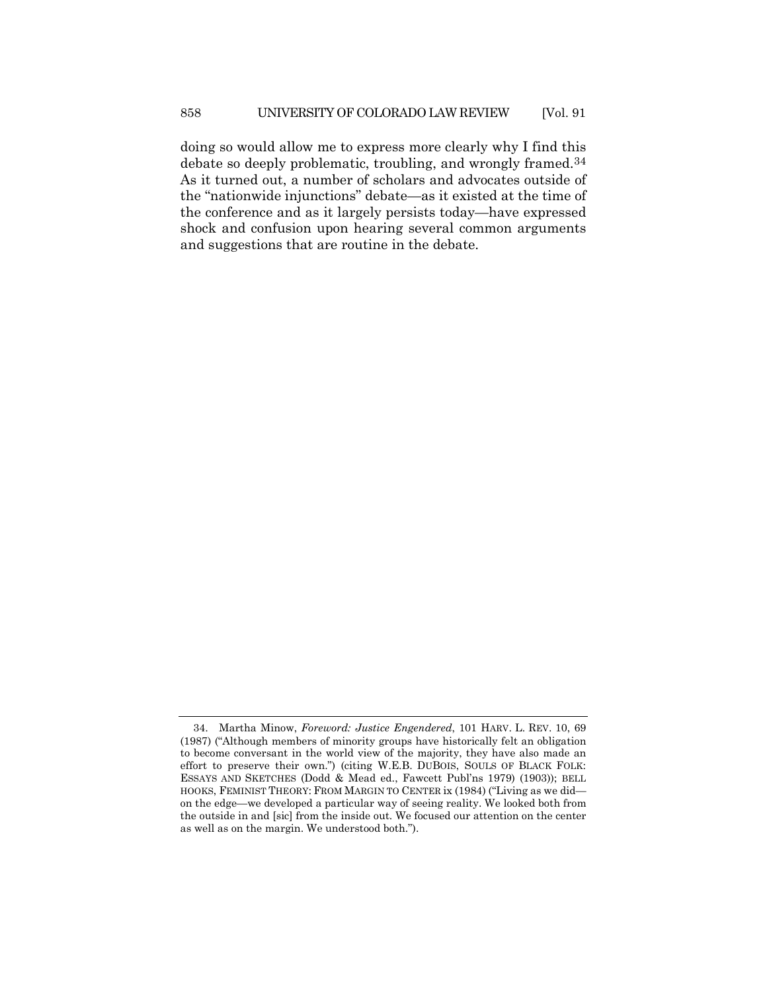doing so would allow me to express more clearly why I find this debate so deeply problematic, troubling, and wrongly framed[.34](#page-11-0) As it turned out, a number of scholars and advocates outside of the "nationwide injunctions" debate—as it existed at the time of the conference and as it largely persists today—have expressed shock and confusion upon hearing several common arguments and suggestions that are routine in the debate.

<span id="page-11-0"></span><sup>34.</sup> Martha Minow, *Foreword: Justice Engendered*, 101 HARV. L. REV. 10, 69 (1987) ("Although members of minority groups have historically felt an obligation to become conversant in the world view of the majority, they have also made an effort to preserve their own.") (citing W.E.B. DUBOIS, SOULS OF BLACK FOLK: ESSAYS AND SKETCHES (Dodd & Mead ed., Fawcett Publ'ns 1979) (1903)); BELL HOOKS, FEMINIST THEORY: FROM MARGIN TO CENTER ix (1984) ("Living as we did on the edge—we developed a particular way of seeing reality. We looked both from the outside in and [sic] from the inside out. We focused our attention on the center as well as on the margin. We understood both.").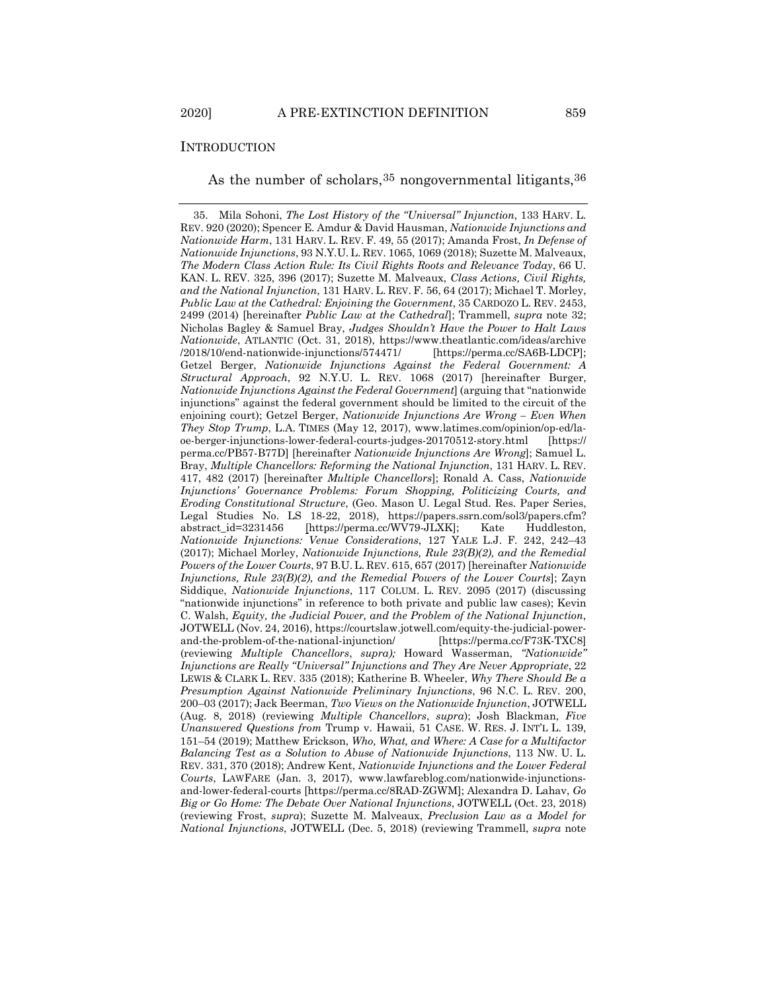#### **INTRODUCTION**

<span id="page-12-3"></span><span id="page-12-2"></span>As the number of scholars,  $35$  nongovernmental litigants,  $36$ 

<span id="page-12-1"></span><span id="page-12-0"></span><sup>35.</sup> Mila Sohoni, *The Lost History of the "Universal" Injunction*, 133 HARV. L. REV. 920 (2020); Spencer E. Amdur & David Hausman, *Nationwide Injunctions and Nationwide Harm*, 131 HARV. L. REV. F. 49, 55 (2017); Amanda Frost, *In Defense of Nationwide Injunctions*, 93 N.Y.U. L. REV. 1065, 1069 (2018); Suzette M. Malveaux, *The Modern Class Action Rule: Its Civil Rights Roots and Relevance Today*, 66 U. KAN. L. REV. 325, 396 (2017); Suzette M. Malveaux, *Class Actions, Civil Rights, and the National Injunction*, 131 HARV. L. REV. F. 56, 64 (2017); Michael T. Morley, *Public Law at the Cathedral: Enjoining the Government*, 35 CARDOZO L. REV. 2453, 2499 (2014) [hereinafter *Public Law at the Cathedral*]; Trammell, *supra* note [32;](#page-9-1)  Nicholas Bagley & Samuel Bray, *Judges Shouldn't Have the Power to Halt Laws Nationwide*, ATLANTIC (Oct. 31, 2018), https://www.theatlantic.com/ideas/archive /2018/10/end-nationwide-injunctions/574471/ [https://perma.cc/SA6B-LDCP]; Getzel Berger, *Nationwide Injunctions Against the Federal Government: A Structural Approach*, 92 N.Y.U. L. REV. 1068 (2017) [hereinafter Burger, *Nationwide Injunctions Against the Federal Government*] (arguing that "nationwide injunctions" against the federal government should be limited to the circuit of the enjoining court); Getzel Berger, *Nationwide Injunctions Are Wrong – Even When They Stop Trump*, L.A. TIMES (May 12, 2017), www.latimes.com/opinion/op-ed/laoe-berger-injunctions-lower-federal-courts-judges-20170512-story.html [https:// perma.cc/PB57-B77D] [hereinafter *Nationwide Injunctions Are Wrong*]; Samuel L. Bray, *Multiple Chancellors: Reforming the National Injunction*, 131 HARV. L. REV. 417, 482 (2017) [hereinafter *Multiple Chancellors*]; Ronald A. Cass, *Nationwide Injunctions' Governance Problems: Forum Shopping, Politicizing Courts, and Eroding Constitutional Structure*, (Geo. Mason U. Legal Stud. Res. Paper Series, Legal Studies No. LS 18-22, 2018), https://papers.ssrn.com/sol3/papers.cfm? abstract\_id=3231456 [https://perma.cc/WV79-JLXK]; Kate Huddleston, *Nationwide Injunctions: Venue Considerations*, 127 YALE L.J. F. 242, 242–43 (2017); Michael Morley, *Nationwide Injunctions, Rule 23(B)(2), and the Remedial Powers of the Lower Courts*, 97 B.U. L. REV. 615, 657 (2017) [hereinafter *Nationwide Injunctions, Rule 23(B)(2), and the Remedial Powers of the Lower Courts*]; Zayn Siddique, *Nationwide Injunctions*, 117 COLUM. L. REV. 2095 (2017) (discussing "nationwide injunctions" in reference to both private and public law cases); Kevin C. Walsh, *Equity, the Judicial Power, and the Problem of the National Injunction*, JOTWELL (Nov. 24, 2016), https://courtslaw.jotwell.com/equity-the-judicial-powerand-the-problem-of-the-national-injunction/ [https://perma.cc/F73K-TXC8] (reviewing *Multiple Chancellors*, *supra);* Howard Wasserman, *"Nationwide" Injunctions are Really "Universal" Injunctions and They Are Never Appropriate*, 22 LEWIS & CLARK L. REV. 335 (2018); Katherine B. Wheeler, *Why There Should Be a Presumption Against Nationwide Preliminary Injunctions*, 96 N.C. L. REV. 200, 200–03 (2017); Jack Beerman, *Two Views on the Nationwide Injunction*, JOTWELL (Aug. 8, 2018) (reviewing *Multiple Chancellors*, *supra*); Josh Blackman, *Five Unanswered Questions from* Trump v. Hawaii, 51 CASE. W. RES. J. INT'L L. 139, 151–54 (2019); Matthew Erickson, *Who, What, and Where: A Case for a Multifactor Balancing Test as a Solution to Abuse of Nationwide Injunctions*, 113 NW. U. L. REV. 331, 370 (2018); Andrew Kent, *Nationwide Injunctions and the Lower Federal Courts*, LAWFARE (Jan. 3, 2017), www.lawfareblog.com/nationwide-injunctionsand-lower-federal-courts [https://perma.cc/8RAD-ZGWM]; Alexandra D. Lahav, *Go Big or Go Home: The Debate Over National Injunctions*, JOTWELL (Oct. 23, 2018) (reviewing Frost, *supra*); Suzette M. Malveaux, *Preclusion Law as a Model for National Injunctions*, JOTWELL (Dec. 5, 2018) (reviewing Trammell, *supra* note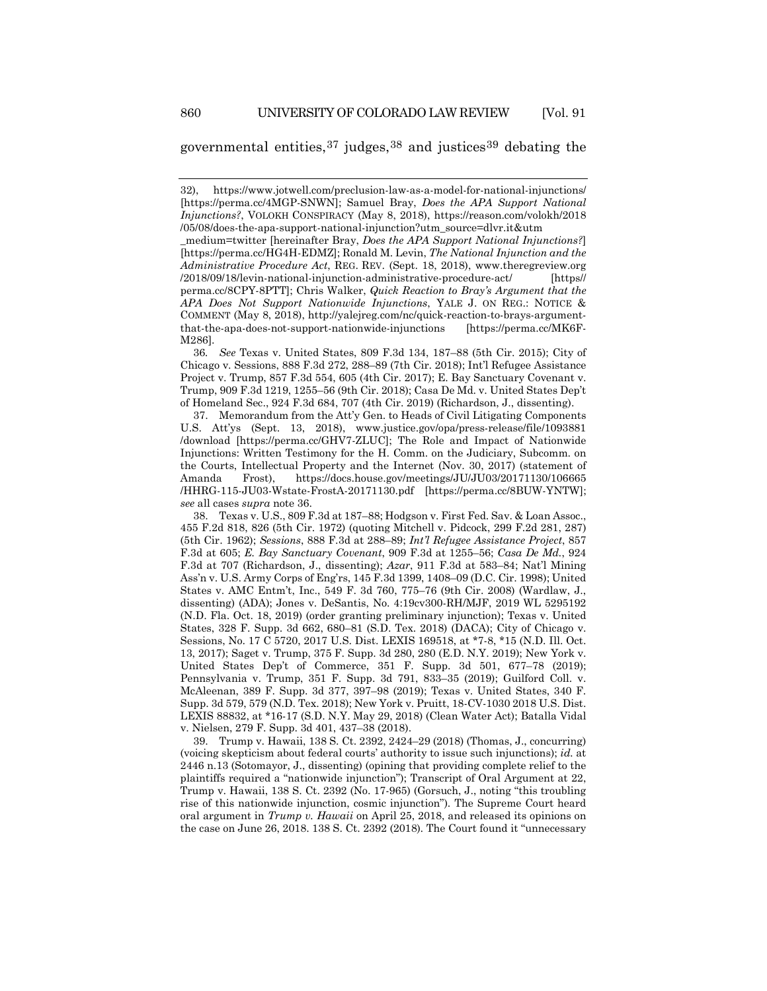governmental entities,  $37$  judges,  $38$  and justices  $39$  debating the

36*. See* Texas v. United States, 809 F.3d 134, 187–88 (5th Cir. 2015); City of Chicago v. Sessions, 888 F.3d 272, 288–89 (7th Cir. 2018); Int'l Refugee Assistance Project v. Trump, 857 F.3d 554, 605 (4th Cir. 2017); E. Bay Sanctuary Covenant v. Trump, 909 F.3d 1219, 1255–56 (9th Cir. 2018); Casa De Md. v. United States Dep't of Homeland Sec., 924 F.3d 684, 707 (4th Cir. 2019) (Richardson, J., dissenting).

<span id="page-13-0"></span>37. Memorandum from the Att'y Gen. to Heads of Civil Litigating Components U.S. Att'ys (Sept. 13, 2018), www.justice.gov/opa/press-release/file/1093881 /download [https://perma.cc/GHV7-ZLUC]; The Role and Impact of Nationwide Injunctions: Written Testimony for the H. Comm. on the Judiciary, Subcomm. on the Courts, Intellectual Property and the Internet (Nov. 30, 2017) (statement of Amanda Frost), https://docs.house.gov/meetings/JU/JU03/20171130/106665 /HHRG-115-JU03-Wstate-FrostA-20171130.pdf [https://perma.cc/8BUW-YNTW]; *see* all cases *supra* not[e 36.](#page-12-2)

<span id="page-13-1"></span>38. Texas v. U.S., 809 F.3d at 187–88; Hodgson v. First Fed. Sav. & Loan Assoc., 455 F.2d 818, 826 (5th Cir. 1972) (quoting Mitchell v. Pidcock, 299 F.2d 281, 287) (5th Cir. 1962); *Sessions*, 888 F.3d at 288–89; *Int'l Refugee Assistance Project*, 857 F.3d at 605; *E. Bay Sanctuary Covenant*, 909 F.3d at 1255–56; *Casa De Md.*, 924 F.3d at 707 (Richardson, J., dissenting); *Azar*, 911 F.3d at 583–84; Nat'l Mining Ass'n v. U.S. Army Corps of Eng'rs, 145 F.3d 1399, 1408–09 (D.C. Cir. 1998); United States v. AMC Entm't, Inc., 549 F. 3d 760, 775–76 (9th Cir. 2008) (Wardlaw, J., dissenting) (ADA); Jones v. DeSantis, No. 4:19cv300-RH/MJF, 2019 WL 5295192 (N.D. Fla. Oct. 18, 2019) (order granting preliminary injunction); Texas v. United States, 328 F. Supp. 3d 662, 680–81 (S.D. Tex. 2018) (DACA); City of Chicago v. Sessions, No. 17 C 5720, 2017 U.S. Dist. LEXIS 169518, at \*7-8, \*15 (N.D. Ill. Oct. 13, 2017); Saget v. Trump, 375 F. Supp. 3d 280, 280 (E.D. N.Y. 2019); New York v. United States Dep't of Commerce, 351 F. Supp. 3d 501, 677–78 (2019); Pennsylvania v. Trump, 351 F. Supp. 3d 791, 833–35 (2019); Guilford Coll. v. McAleenan, 389 F. Supp. 3d 377, 397–98 (2019); Texas v. United States, 340 F. Supp. 3d 579, 579 (N.D. Tex. 2018); New York v. Pruitt, 18-CV-1030 2018 U.S. Dist. LEXIS 88832, at \*16-17 (S.D. N.Y. May 29, 2018) (Clean Water Act); Batalla Vidal v. Nielsen, 279 F. Supp. 3d 401, 437–38 (2018).

<span id="page-13-2"></span>39. Trump v. Hawaii, 138 S. Ct. 2392, 2424–29 (2018) (Thomas, J., concurring) (voicing skepticism about federal courts' authority to issue such injunctions); *id.* at 2446 n.13 (Sotomayor, J., dissenting) (opining that providing complete relief to the plaintiffs required a "nationwide injunction"); Transcript of Oral Argument at 22, Trump v. Hawaii, 138 S. Ct. 2392 (No. 17-965) (Gorsuch, J., noting "this troubling rise of this nationwide injunction, cosmic injunction"). The Supreme Court heard oral argument in *Trump v. Hawaii* on April 25, 2018, and released its opinions on the case on June 26, 2018. 138 S. Ct. 2392 (2018)*.* The Court found it "unnecessary

[<sup>32\)</sup>](#page-9-1), https://www.jotwell.com/preclusion-law-as-a-model-for-national-injunctions/ [https://perma.cc/4MGP-SNWN]; Samuel Bray, *Does the APA Support National Injunctions?*, VOLOKH CONSPIRACY (May 8, 2018), https://reason.com/volokh/2018 /05/08/does-the-apa-support-national-injunction?utm\_source=dlvr.it&utm

\_medium=twitter [hereinafter Bray, *Does the APA Support National Injunctions?*] [https://perma.cc/HG4H-EDMZ]; Ronald M. Levin, *The National Injunction and the Administrative Procedure Act*, REG. REV. (Sept. 18, 2018), www.theregreview.org /2018/09/18/levin-national-injunction-administrative-procedure-act/ [https// perma.cc/8CPY-8PTT]; Chris Walker, *Quick Reaction to Bray's Argument that the APA Does Not Support Nationwide Injunctions*, YALE J. ON REG.: NOTICE & COMMENT (May 8, 2018), http://yalejreg.com/nc/quick-reaction-to-brays-argumentthat-the-apa-does-not-support-nationwide-injunctions [https://perma.cc/MK6F-M286].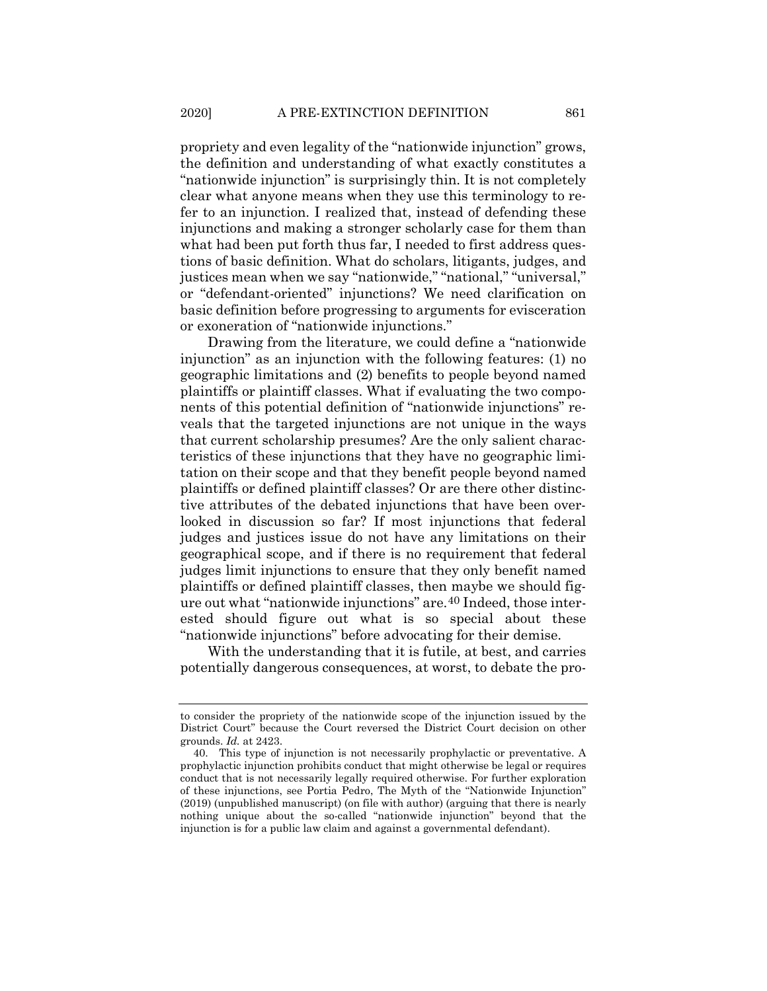propriety and even legality of the "nationwide injunction" grows, the definition and understanding of what exactly constitutes a "nationwide injunction" is surprisingly thin. It is not completely clear what anyone means when they use this terminology to refer to an injunction. I realized that, instead of defending these injunctions and making a stronger scholarly case for them than what had been put forth thus far, I needed to first address questions of basic definition. What do scholars, litigants, judges, and justices mean when we say "nationwide," "national," "universal," or "defendant-oriented" injunctions? We need clarification on basic definition before progressing to arguments for evisceration or exoneration of "nationwide injunctions."

Drawing from the literature, we could define a "nationwide injunction" as an injunction with the following features: (1) no geographic limitations and (2) benefits to people beyond named plaintiffs or plaintiff classes. What if evaluating the two components of this potential definition of "nationwide injunctions" reveals that the targeted injunctions are not unique in the ways that current scholarship presumes? Are the only salient characteristics of these injunctions that they have no geographic limitation on their scope and that they benefit people beyond named plaintiffs or defined plaintiff classes? Or are there other distinctive attributes of the debated injunctions that have been overlooked in discussion so far? If most injunctions that federal judges and justices issue do not have any limitations on their geographical scope, and if there is no requirement that federal judges limit injunctions to ensure that they only benefit named plaintiffs or defined plaintiff classes, then maybe we should figure out what "nationwide injunctions" are.[40](#page-14-0) Indeed, those interested should figure out what is so special about these "nationwide injunctions" before advocating for their demise.

With the understanding that it is futile, at best, and carries potentially dangerous consequences, at worst, to debate the pro-

to consider the propriety of the nationwide scope of the injunction issued by the District Court" because the Court reversed the District Court decision on other grounds. *Id.* at 2423.

<span id="page-14-0"></span><sup>40.</sup> This type of injunction is not necessarily prophylactic or preventative. A prophylactic injunction prohibits conduct that might otherwise be legal or requires conduct that is not necessarily legally required otherwise. For further exploration of these injunctions, see Portia Pedro, The Myth of the "Nationwide Injunction" (2019) (unpublished manuscript) (on file with author) (arguing that there is nearly nothing unique about the so-called "nationwide injunction" beyond that the injunction is for a public law claim and against a governmental defendant).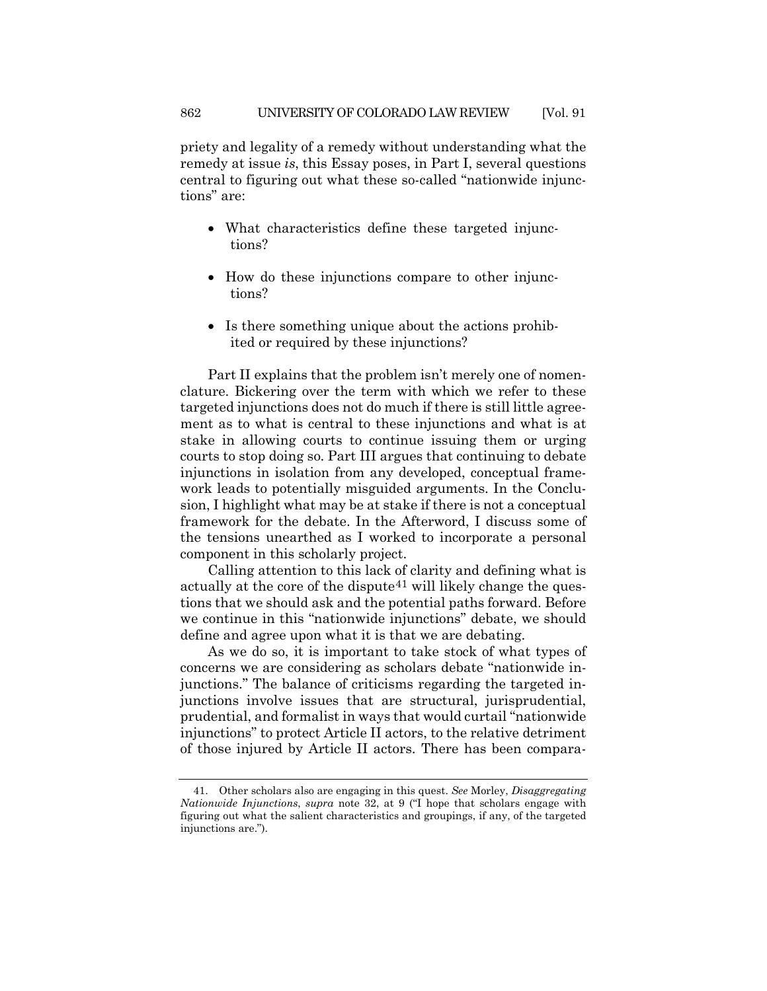priety and legality of a remedy without understanding what the remedy at issue *is*, this Essay poses, in Part I, several questions central to figuring out what these so-called "nationwide injunctions" are:

- What characteristics define these targeted injunctions?
- How do these injunctions compare to other injunctions?
- Is there something unique about the actions prohibited or required by these injunctions?

Part II explains that the problem isn't merely one of nomenclature. Bickering over the term with which we refer to these targeted injunctions does not do much if there is still little agreement as to what is central to these injunctions and what is at stake in allowing courts to continue issuing them or urging courts to stop doing so. Part III argues that continuing to debate injunctions in isolation from any developed, conceptual framework leads to potentially misguided arguments. In the Conclusion, I highlight what may be at stake if there is not a conceptual framework for the debate. In the Afterword, I discuss some of the tensions unearthed as I worked to incorporate a personal component in this scholarly project.

Calling attention to this lack of clarity and defining what is actually at the core of the dispute<sup>[41](#page-15-0)</sup> will likely change the questions that we should ask and the potential paths forward. Before we continue in this "nationwide injunctions" debate, we should define and agree upon what it is that we are debating.

As we do so, it is important to take stock of what types of concerns we are considering as scholars debate "nationwide injunctions." The balance of criticisms regarding the targeted injunctions involve issues that are structural, jurisprudential, prudential, and formalist in ways that would curtail "nationwide injunctions" to protect Article II actors, to the relative detriment of those injured by Article II actors. There has been compara-

<span id="page-15-0"></span><sup>41.</sup> Other scholars also are engaging in this quest. *See* Morley, *Disaggregating Nationwide Injunctions*, *supra* note [32,](#page-9-1) at 9 ("I hope that scholars engage with figuring out what the salient characteristics and groupings, if any, of the targeted injunctions are.").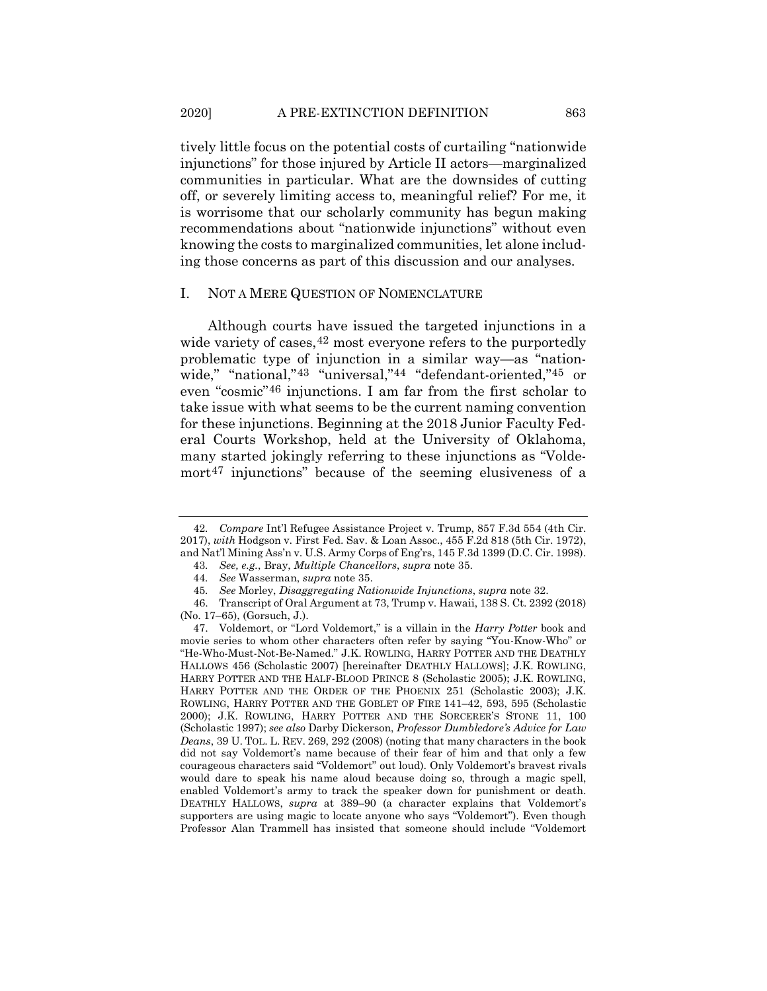tively little focus on the potential costs of curtailing "nationwide injunctions" for those injured by Article II actors—marginalized communities in particular. What are the downsides of cutting off, or severely limiting access to, meaningful relief? For me, it is worrisome that our scholarly community has begun making recommendations about "nationwide injunctions" without even knowing the costs to marginalized communities, let alone including those concerns as part of this discussion and our analyses.

#### I. NOT A MERE QUESTION OF NOMENCLATURE

Although courts have issued the targeted injunctions in a wide variety of cases,  $42 \text{ most everyone refers to the purportedly}$  $42 \text{ most everyone refers to the purportedly}$ problematic type of injunction in a similar way—as "nationwide," "national,"[43](#page-16-1) "universal,"[44](#page-16-2) "defendant-oriented,"[45](#page-16-3) or even "cosmic"[46](#page-16-4) injunctions. I am far from the first scholar to take issue with what seems to be the current naming convention for these injunctions. Beginning at the 2018 Junior Faculty Federal Courts Workshop, held at the University of Oklahoma, many started jokingly referring to these injunctions as "Voldemort[47](#page-16-5) injunctions" because of the seeming elusiveness of a

<span id="page-16-1"></span><span id="page-16-0"></span><sup>42</sup>*. Compare* Int'l Refugee Assistance Project v. Trump, 857 F.3d 554 (4th Cir. 2017), *with* Hodgson v. First Fed. Sav. & Loan Assoc., 455 F.2d 818 (5th Cir. 1972), and Nat'l Mining Ass'n v. U.S. Army Corps of Eng'rs, 145 F.3d 1399 (D.C. Cir. 1998).

<sup>43</sup>*. See, e.g.*, Bray, *Multiple Chancellors*, *supra* not[e 35.](#page-12-3)

<sup>44</sup>*. See* Wasserman, *supra* note [35.](#page-12-3)

<sup>45</sup>*. See* Morley, *Disaggregating Nationwide Injunctions*, *supra* not[e 32.](#page-9-1)

<span id="page-16-4"></span><span id="page-16-3"></span><span id="page-16-2"></span><sup>46.</sup> Transcript of Oral Argument at 73, Trump v. Hawaii, 138 S. Ct. 2392 (2018) (No. 17–65), (Gorsuch, J.).

<span id="page-16-5"></span><sup>47.</sup> Voldemort, or "Lord Voldemort," is a villain in the *Harry Potter* book and movie series to whom other characters often refer by saying "You-Know-Who" or "He-Who-Must-Not-Be-Named." J.K. ROWLING, HARRY POTTER AND THE DEATHLY HALLOWS 456 (Scholastic 2007) [hereinafter DEATHLY HALLOWS]; J.K. ROWLING, HARRY POTTER AND THE HALF-BLOOD PRINCE 8 (Scholastic 2005); J.K. ROWLING, HARRY POTTER AND THE ORDER OF THE PHOENIX 251 (Scholastic 2003); J.K. ROWLING, HARRY POTTER AND THE GOBLET OF FIRE 141–42, 593, 595 (Scholastic 2000); J.K. ROWLING, HARRY POTTER AND THE SORCERER'S STONE 11, 100 (Scholastic 1997); *see also* Darby Dickerson, *Professor Dumbledore's Advice for Law Deans*, 39 U. TOL. L. REV. 269, 292 (2008) (noting that many characters in the book did not say Voldemort's name because of their fear of him and that only a few courageous characters said "Voldemort" out loud). Only Voldemort's bravest rivals would dare to speak his name aloud because doing so, through a magic spell, enabled Voldemort's army to track the speaker down for punishment or death. DEATHLY HALLOWS, *supra* at 389–90 (a character explains that Voldemort's supporters are using magic to locate anyone who says "Voldemort"). Even though Professor Alan Trammell has insisted that someone should include "Voldemort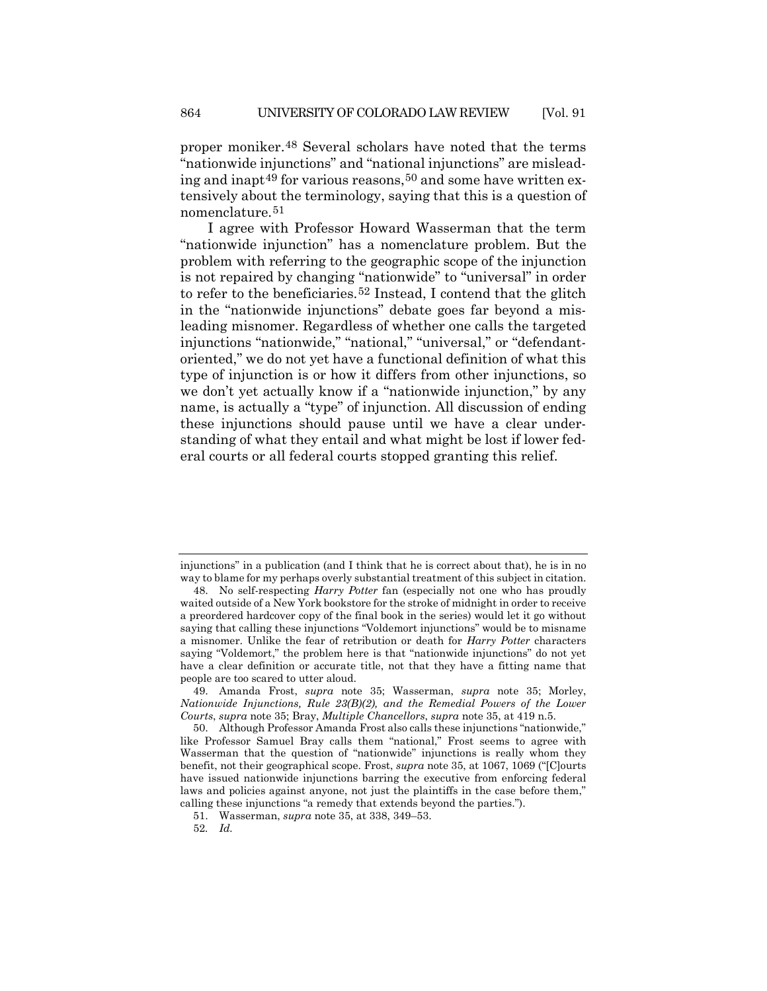proper moniker.[48](#page-17-0) Several scholars have noted that the terms "nationwide injunctions" and "national injunctions" are mislead-ing and inapt<sup>[49](#page-17-1)</sup> for various reasons,<sup>[50](#page-17-2)</sup> and some have written extensively about the terminology, saying that this is a question of nomenclature.[51](#page-17-3)

I agree with Professor Howard Wasserman that the term "nationwide injunction" has a nomenclature problem. But the problem with referring to the geographic scope of the injunction is not repaired by changing "nationwide" to "universal" in order to refer to the beneficiaries.[52](#page-17-4) Instead, I contend that the glitch in the "nationwide injunctions" debate goes far beyond a misleading misnomer. Regardless of whether one calls the targeted injunctions "nationwide," "national," "universal," or "defendantoriented," we do not yet have a functional definition of what this type of injunction is or how it differs from other injunctions, so we don't yet actually know if a "nationwide injunction," by any name, is actually a "type" of injunction. All discussion of ending these injunctions should pause until we have a clear understanding of what they entail and what might be lost if lower federal courts or all federal courts stopped granting this relief.

injunctions" in a publication (and I think that he is correct about that), he is in no way to blame for my perhaps overly substantial treatment of this subject in citation.

<span id="page-17-0"></span><sup>48.</sup> No self-respecting *Harry Potter* fan (especially not one who has proudly waited outside of a New York bookstore for the stroke of midnight in order to receive a preordered hardcover copy of the final book in the series) would let it go without saying that calling these injunctions "Voldemort injunctions" would be to misname a misnomer. Unlike the fear of retribution or death for *Harry Potter* characters saying "Voldemort," the problem here is that "nationwide injunctions" do not yet have a clear definition or accurate title, not that they have a fitting name that people are too scared to utter aloud.

<span id="page-17-1"></span><sup>49.</sup> Amanda Frost, *supra* note [35;](#page-12-3) Wasserman, *supra* note [35;](#page-12-3) Morley, *Nationwide Injunctions, Rule 23(B)(2), and the Remedial Powers of the Lower Courts*, *supra* note [35;](#page-12-3) Bray, *Multiple Chancellors*, *supra* note [35,](#page-12-3) at 419 n.5.

<span id="page-17-2"></span><sup>50.</sup> Although Professor Amanda Frost also calls these injunctions "nationwide," like Professor Samuel Bray calls them "national," Frost seems to agree with Wasserman that the question of "nationwide" injunctions is really whom they benefit, not their geographical scope. Frost, *supra* not[e 35,](#page-12-3) at 1067, 1069 ("[C]ourts have issued nationwide injunctions barring the executive from enforcing federal laws and policies against anyone, not just the plaintiffs in the case before them," calling these injunctions "a remedy that extends beyond the parties.").

<span id="page-17-3"></span><sup>51.</sup> Wasserman, *supra* note [35,](#page-12-3) at 338, 349–53.

<span id="page-17-4"></span><sup>52</sup>*. Id.*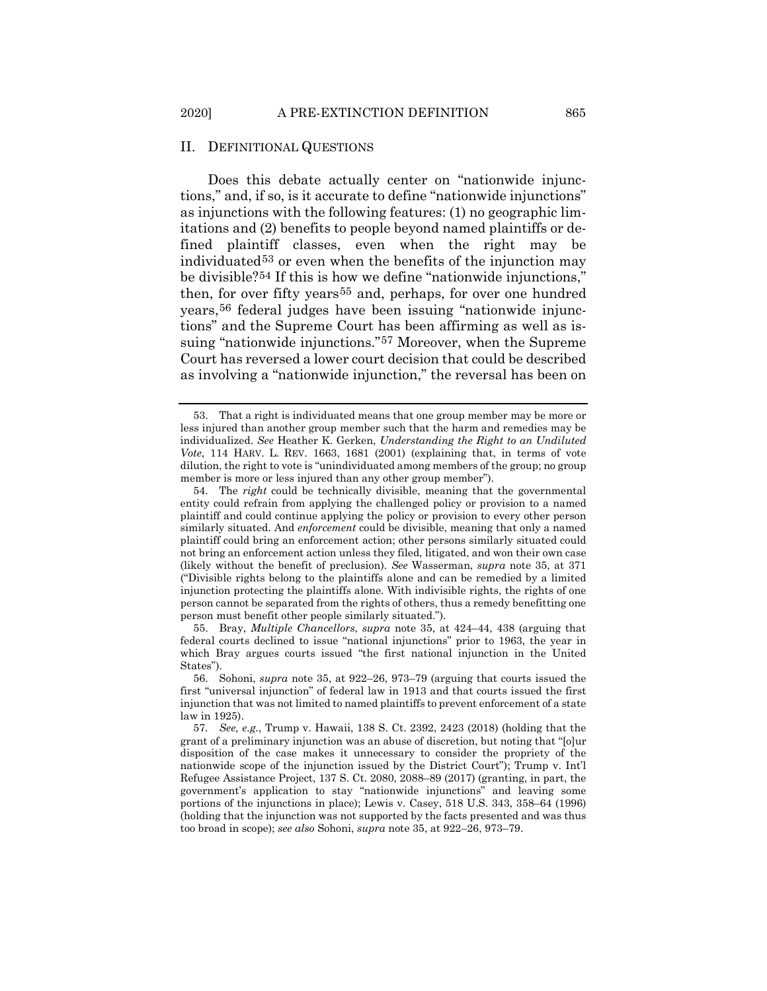### II. DEFINITIONAL QUESTIONS

Does this debate actually center on "nationwide injunctions," and, if so, is it accurate to define "nationwide injunctions" as injunctions with the following features: (1) no geographic limitations and (2) benefits to people beyond named plaintiffs or defined plaintiff classes, even when the right may be individuated<sup>[53](#page-18-0)</sup> or even when the benefits of the injunction may be divisible?[54](#page-18-1) If this is how we define "nationwide injunctions," then, for over fifty years<sup>[55](#page-18-2)</sup> and, perhaps, for over one hundred years,[56](#page-18-3) federal judges have been issuing "nationwide injunctions" and the Supreme Court has been affirming as well as issuing "nationwide injunctions."[57](#page-18-4) Moreover, when the Supreme Court has reversed a lower court decision that could be described as involving a "nationwide injunction," the reversal has been on

<span id="page-18-5"></span><span id="page-18-0"></span><sup>53.</sup> That a right is individuated means that one group member may be more or less injured than another group member such that the harm and remedies may be individualized. *See* Heather K. Gerken, *Understanding the Right to an Undiluted Vote*, 114 HARV. L. REV. 1663, 1681 (2001) (explaining that, in terms of vote dilution, the right to vote is "unindividuated among members of the group; no group member is more or less injured than any other group member").

<span id="page-18-1"></span><sup>54.</sup> The *right* could be technically divisible, meaning that the governmental entity could refrain from applying the challenged policy or provision to a named plaintiff and could continue applying the policy or provision to every other person similarly situated. And *enforcement* could be divisible, meaning that only a named plaintiff could bring an enforcement action; other persons similarly situated could not bring an enforcement action unless they filed, litigated, and won their own case (likely without the benefit of preclusion). *See* Wasserman, *supra* note [35,](#page-12-3) at 371 ("Divisible rights belong to the plaintiffs alone and can be remedied by a limited injunction protecting the plaintiffs alone. With indivisible rights, the rights of one person cannot be separated from the rights of others, thus a remedy benefitting one person must benefit other people similarly situated.").

<span id="page-18-2"></span><sup>55.</sup> Bray, *Multiple Chancellors*, *supra* note [35,](#page-12-3) at 424–44, 438 (arguing that federal courts declined to issue "national injunctions" prior to 1963, the year in which Bray argues courts issued "the first national injunction in the United States").

<span id="page-18-3"></span><sup>56.</sup> Sohoni, *supra* note [35,](#page-12-3) at 922–26, 973–79 (arguing that courts issued the first "universal injunction" of federal law in 1913 and that courts issued the first injunction that was not limited to named plaintiffs to prevent enforcement of a state law in 1925).

<span id="page-18-4"></span><sup>57</sup>*. See, e.g.*, Trump v. Hawaii, 138 S. Ct. 2392, 2423 (2018) (holding that the grant of a preliminary injunction was an abuse of discretion, but noting that "[o]ur disposition of the case makes it unnecessary to consider the propriety of the nationwide scope of the injunction issued by the District Court"); Trump v. Int'l Refugee Assistance Project, 137 S. Ct. 2080, 2088–89 (2017) (granting, in part, the government's application to stay "nationwide injunctions" and leaving some portions of the injunctions in place); Lewis v. Casey, 518 U.S. 343, 358–64 (1996) (holding that the injunction was not supported by the facts presented and was thus too broad in scope); *see also* Sohoni, *supra* not[e 35,](#page-12-3) at 922–26, 973–79.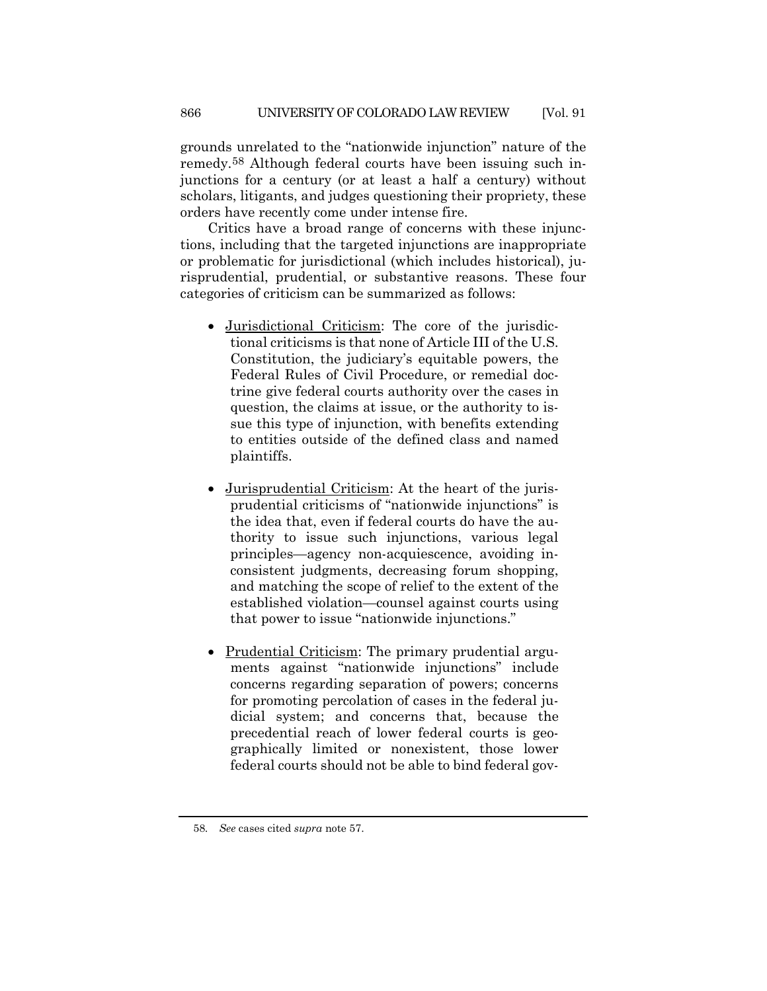<span id="page-19-1"></span>grounds unrelated to the "nationwide injunction" nature of the remedy.[58](#page-19-0) Although federal courts have been issuing such injunctions for a century (or at least a half a century) without scholars, litigants, and judges questioning their propriety, these orders have recently come under intense fire.

Critics have a broad range of concerns with these injunctions, including that the targeted injunctions are inappropriate or problematic for jurisdictional (which includes historical), jurisprudential, prudential, or substantive reasons. These four categories of criticism can be summarized as follows:

- Jurisdictional Criticism: The core of the jurisdictional criticisms is that none of Article III of the U.S. Constitution, the judiciary's equitable powers, the Federal Rules of Civil Procedure, or remedial doctrine give federal courts authority over the cases in question, the claims at issue, or the authority to issue this type of injunction, with benefits extending to entities outside of the defined class and named plaintiffs.
- Jurisprudential Criticism: At the heart of the jurisprudential criticisms of "nationwide injunctions" is the idea that, even if federal courts do have the authority to issue such injunctions, various legal principles—agency non-acquiescence, avoiding inconsistent judgments, decreasing forum shopping, and matching the scope of relief to the extent of the established violation—counsel against courts using that power to issue "nationwide injunctions."
- Prudential Criticism: The primary prudential arguments against "nationwide injunctions" include concerns regarding separation of powers; concerns for promoting percolation of cases in the federal judicial system; and concerns that, because the precedential reach of lower federal courts is geographically limited or nonexistent, those lower federal courts should not be able to bind federal gov-

<span id="page-19-0"></span><sup>58</sup>*. See* cases cited *supra* note [57.](#page-18-5)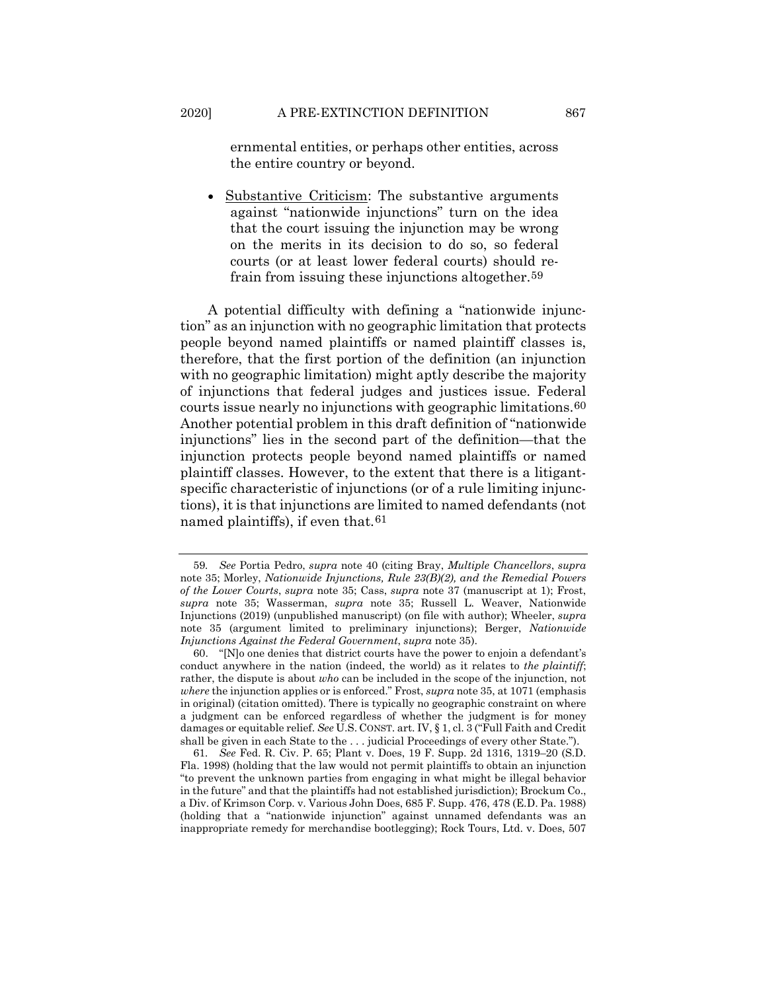ernmental entities, or perhaps other entities, across the entire country or beyond.

• Substantive Criticism: The substantive arguments against "nationwide injunctions" turn on the idea that the court issuing the injunction may be wrong on the merits in its decision to do so, so federal courts (or at least lower federal courts) should refrain from issuing these injunctions altogether.[59](#page-20-0)

A potential difficulty with defining a "nationwide injunction" as an injunction with no geographic limitation that protects people beyond named plaintiffs or named plaintiff classes is, therefore, that the first portion of the definition (an injunction with no geographic limitation) might aptly describe the majority of injunctions that federal judges and justices issue. Federal courts issue nearly no injunctions with geographic limitations.[60](#page-20-1) Another potential problem in this draft definition of "nationwide injunctions" lies in the second part of the definition—that the injunction protects people beyond named plaintiffs or named plaintiff classes. However, to the extent that there is a litigantspecific characteristic of injunctions (or of a rule limiting injunctions), it is that injunctions are limited to named defendants (not named plaintiffs), if even that.[61](#page-20-2)

<span id="page-20-3"></span><span id="page-20-0"></span><sup>59</sup>*. See* Portia Pedro, *supra* note 40 (citing Bray, *Multiple Chancellors*, *supra*  note [35;](#page-12-3) Morley, *Nationwide Injunctions, Rule 23(B)(2), and the Remedial Powers of the Lower Courts*, *supra* note [35;](#page-12-3) Cass, *supra* note 37 (manuscript at 1); Frost, *supra* note [35;](#page-12-3) Wasserman, *supra* note [35;](#page-12-3) Russell L. Weaver, Nationwide Injunctions (2019) (unpublished manuscript) (on file with author); Wheeler, *supra* note [35](#page-12-3) (argument limited to preliminary injunctions); Berger, *Nationwide Injunctions Against the Federal Government*, *supra* not[e 35\)](#page-12-3).

<span id="page-20-1"></span><sup>60.</sup> "[N]o one denies that district courts have the power to enjoin a defendant's conduct anywhere in the nation (indeed, the world) as it relates to *the plaintiff*; rather, the dispute is about *who* can be included in the scope of the injunction, not *where* the injunction applies or is enforced." Frost, *supra* not[e 35,](#page-12-3) at 1071 (emphasis in original) (citation omitted). There is typically no geographic constraint on where a judgment can be enforced regardless of whether the judgment is for money damages or equitable relief. *See* U.S. CONST. art. IV, § 1, cl. 3 ("Full Faith and Credit shall be given in each State to the . . . judicial Proceedings of every other State.").

<span id="page-20-2"></span><sup>61</sup>*. See* Fed. R. Civ. P. 65; Plant v. Does, 19 F. Supp. 2d 1316, 1319–20 (S.D. Fla. 1998) (holding that the law would not permit plaintiffs to obtain an injunction "to prevent the unknown parties from engaging in what might be illegal behavior in the future" and that the plaintiffs had not established jurisdiction); Brockum Co., a Div. of Krimson Corp. v. Various John Does, 685 F. Supp. 476, 478 (E.D. Pa. 1988) (holding that a "nationwide injunction" against unnamed defendants was an inappropriate remedy for merchandise bootlegging); Rock Tours, Ltd. v. Does, 507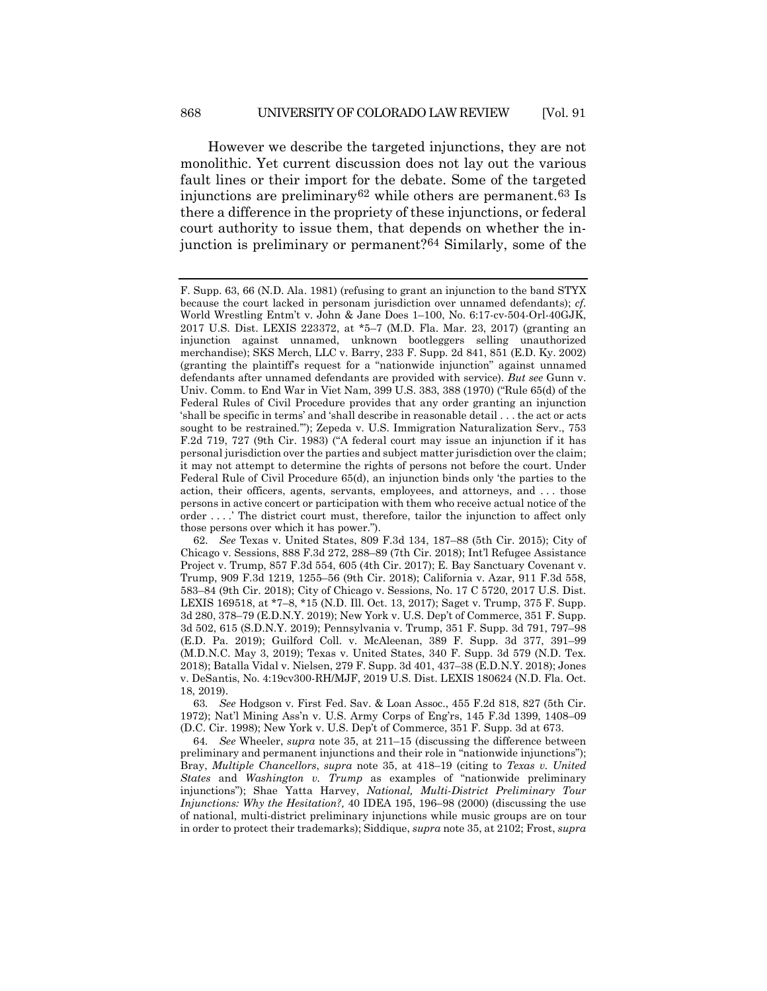However we describe the targeted injunctions, they are not monolithic. Yet current discussion does not lay out the various fault lines or their import for the debate. Some of the targeted injunctions are preliminary<sup>[62](#page-21-0)</sup> while others are permanent.<sup>63</sup> Is there a difference in the propriety of these injunctions, or federal court authority to issue them, that depends on whether the injunction is preliminary or permanent?[64](#page-21-2) Similarly, some of the

<span id="page-21-1"></span>63*. See* Hodgson v. First Fed. Sav. & Loan Assoc., 455 F.2d 818, 827 (5th Cir. 1972); Nat'l Mining Ass'n v. U.S. Army Corps of Eng'rs, 145 F.3d 1399, 1408–09 (D.C. Cir. 1998); New York v. U.S. Dep't of Commerce, 351 F. Supp. 3d at 673.

<span id="page-21-2"></span>64*. See* Wheeler, *supra* note [35,](#page-12-3) at 211–15 (discussing the difference between preliminary and permanent injunctions and their role in "nationwide injunctions"); Bray, *Multiple Chancellors*, *supra* note [35,](#page-12-3) at 418–19 (citing to *Texas v. United States* and *Washington v. Trump* as examples of "nationwide preliminary injunctions"); Shae Yatta Harvey, *National, Multi-District Preliminary Tour Injunctions: Why the Hesitation?,* 40 IDEA 195, 196–98 (2000) (discussing the use of national, multi-district preliminary injunctions while music groups are on tour in order to protect their trademarks); Siddique, *supra* note [35,](#page-12-3) at 2102; Frost, *supra* 

F. Supp. 63, 66 (N.D. Ala. 1981) (refusing to grant an injunction to the band STYX because the court lacked in personam jurisdiction over unnamed defendants); *cf.* World Wrestling Entm't v. John & Jane Does 1–100, No. 6:17-cv-504-Orl-40GJK, 2017 U.S. Dist. LEXIS 223372, at \*5–7 (M.D. Fla. Mar. 23, 2017) (granting an injunction against unnamed, unknown bootleggers selling unauthorized merchandise); SKS Merch, LLC v. Barry, 233 F. Supp. 2d 841, 851 (E.D. Ky. 2002) (granting the plaintiff's request for a "nationwide injunction" against unnamed defendants after unnamed defendants are provided with service). *But see* Gunn v. Univ. Comm. to End War in Viet Nam, 399 U.S. 383, 388 (1970) ("Rule 65(d) of the Federal Rules of Civil Procedure provides that any order granting an injunction 'shall be specific in terms' and 'shall describe in reasonable detail . . . the act or acts sought to be restrained.'"); Zepeda v. U.S. Immigration Naturalization Serv., 753 F.2d 719, 727 (9th Cir. 1983) ("A federal court may issue an injunction if it has personal jurisdiction over the parties and subject matter jurisdiction over the claim; it may not attempt to determine the rights of persons not before the court. Under Federal Rule of Civil Procedure 65(d), an injunction binds only 'the parties to the action, their officers, agents, servants, employees, and attorneys, and . . . those persons in active concert or participation with them who receive actual notice of the order . . . .' The district court must, therefore, tailor the injunction to affect only those persons over which it has power.").

<span id="page-21-0"></span><sup>62</sup>*. See* Texas v. United States, 809 F.3d 134, 187–88 (5th Cir. 2015); City of Chicago v. Sessions, 888 F.3d 272, 288–89 (7th Cir. 2018); Int'l Refugee Assistance Project v. Trump, 857 F.3d 554, 605 (4th Cir. 2017); E. Bay Sanctuary Covenant v. Trump, 909 F.3d 1219, 1255–56 (9th Cir. 2018); California v. Azar, 911 F.3d 558, 583–84 (9th Cir. 2018); City of Chicago v. Sessions, No. 17 C 5720, 2017 U.S. Dist. LEXIS 169518, at \*7–8, \*15 (N.D. Ill. Oct. 13, 2017); Saget v. Trump, 375 F. Supp. 3d 280, 378–79 (E.D.N.Y. 2019); New York v. U.S. Dep't of Commerce, 351 F. Supp. 3d 502, 615 (S.D.N.Y. 2019); Pennsylvania v. Trump, 351 F. Supp. 3d 791, 797–98 (E.D. Pa. 2019); Guilford Coll. v. McAleenan, 389 F. Supp. 3d 377, 391–99 (M.D.N.C. May 3, 2019); Texas v. United States, 340 F. Supp. 3d 579 (N.D. Tex. 2018); Batalla Vidal v. Nielsen, 279 F. Supp. 3d 401, 437–38 (E.D.N.Y. 2018); Jones v. DeSantis, No. 4:19cv300-RH/MJF, 2019 U.S. Dist. LEXIS 180624 (N.D. Fla. Oct. 18, 2019).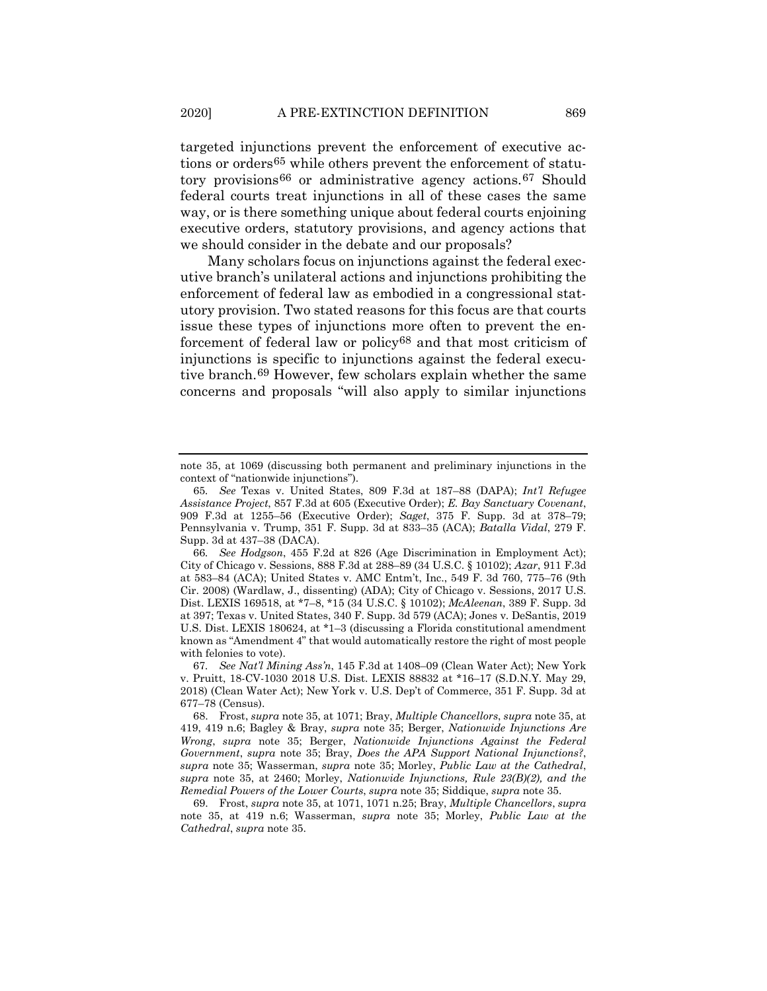targeted injunctions prevent the enforcement of executive actions or orders[65](#page-22-0) while others prevent the enforcement of statutory provisions[66](#page-22-1) or administrative agency actions.[67](#page-22-2) Should federal courts treat injunctions in all of these cases the same way, or is there something unique about federal courts enjoining executive orders, statutory provisions, and agency actions that we should consider in the debate and our proposals?

Many scholars focus on injunctions against the federal executive branch's unilateral actions and injunctions prohibiting the enforcement of federal law as embodied in a congressional statutory provision. Two stated reasons for this focus are that courts issue these types of injunctions more often to prevent the enforcement of federal law or policy[68](#page-22-3) and that most criticism of injunctions is specific to injunctions against the federal executive branch[.69](#page-22-4) However, few scholars explain whether the same concerns and proposals "will also apply to similar injunctions

note [35,](#page-12-3) at 1069 (discussing both permanent and preliminary injunctions in the context of "nationwide injunctions").

<span id="page-22-0"></span><sup>65</sup>*. See* Texas v. United States, 809 F.3d at 187–88 (DAPA); *Int'l Refugee Assistance Project*, 857 F.3d at 605 (Executive Order); *E. Bay Sanctuary Covenant*, 909 F.3d at 1255–56 (Executive Order); *Saget*, 375 F. Supp. 3d at 378–79; Pennsylvania v. Trump, 351 F. Supp. 3d at 833–35 (ACA); *Batalla Vidal*, 279 F. Supp. 3d at 437–38 (DACA).

<span id="page-22-1"></span><sup>66</sup>*. See Hodgson*, 455 F.2d at 826 (Age Discrimination in Employment Act); City of Chicago v. Sessions, 888 F.3d at 288–89 (34 U.S.C. § 10102); *Azar*, 911 F.3d at 583–84 (ACA); United States v. AMC Entm't, Inc., 549 F. 3d 760, 775–76 (9th Cir. 2008) (Wardlaw, J., dissenting) (ADA); City of Chicago v. Sessions, 2017 U.S. Dist. LEXIS 169518, at \*7–8, \*15 (34 U.S.C. § 10102); *McAleenan*, 389 F. Supp. 3d at 397; Texas v. United States, 340 F. Supp. 3d 579 (ACA); Jones v. DeSantis, 2019 U.S. Dist. LEXIS 180624, at \*1–3 (discussing a Florida constitutional amendment known as "Amendment 4" that would automatically restore the right of most people with felonies to vote).

<span id="page-22-2"></span><sup>67</sup>*. See Nat'l Mining Ass'n*, 145 F.3d at 1408–09 (Clean Water Act); New York v. Pruitt, 18-CV-1030 2018 U.S. Dist. LEXIS 88832 at \*16–17 (S.D.N.Y. May 29, 2018) (Clean Water Act); New York v. U.S. Dep't of Commerce, 351 F. Supp. 3d at 677–78 (Census).

<span id="page-22-3"></span><sup>68.</sup> Frost, *supra* not[e 35,](#page-12-3) at 1071; Bray, *Multiple Chancellors*, *supra* note [35,](#page-12-3) at 419, 419 n.6; Bagley & Bray, *supra* note [35;](#page-12-3) Berger, *Nationwide Injunctions Are Wrong*, *supra* note [35;](#page-12-3) Berger, *Nationwide Injunctions Against the Federal Government*, *supra* note [35;](#page-12-3) Bray, *Does the APA Support National Injunctions?*, *supra* note [35;](#page-12-3) Wasserman, *supra* note [35;](#page-12-3) Morley, *Public Law at the Cathedral*, *supra* note [35,](#page-12-3) at 2460; Morley, *Nationwide Injunctions, Rule 23(B)(2), and the Remedial Powers of the Lower Courts*, *supra* note [35;](#page-12-3) Siddique, *supra* not[e 35.](#page-12-3)

<span id="page-22-4"></span><sup>69.</sup> Frost, *supra* not[e 35,](#page-12-3) at 1071, 1071 n.25; Bray, *Multiple Chancellors*, *supra* note [35,](#page-12-3) at 419 n.6; Wasserman, *supra* note [35;](#page-12-3) Morley, *Public Law at the Cathedral*, *supra* not[e 35.](#page-12-3)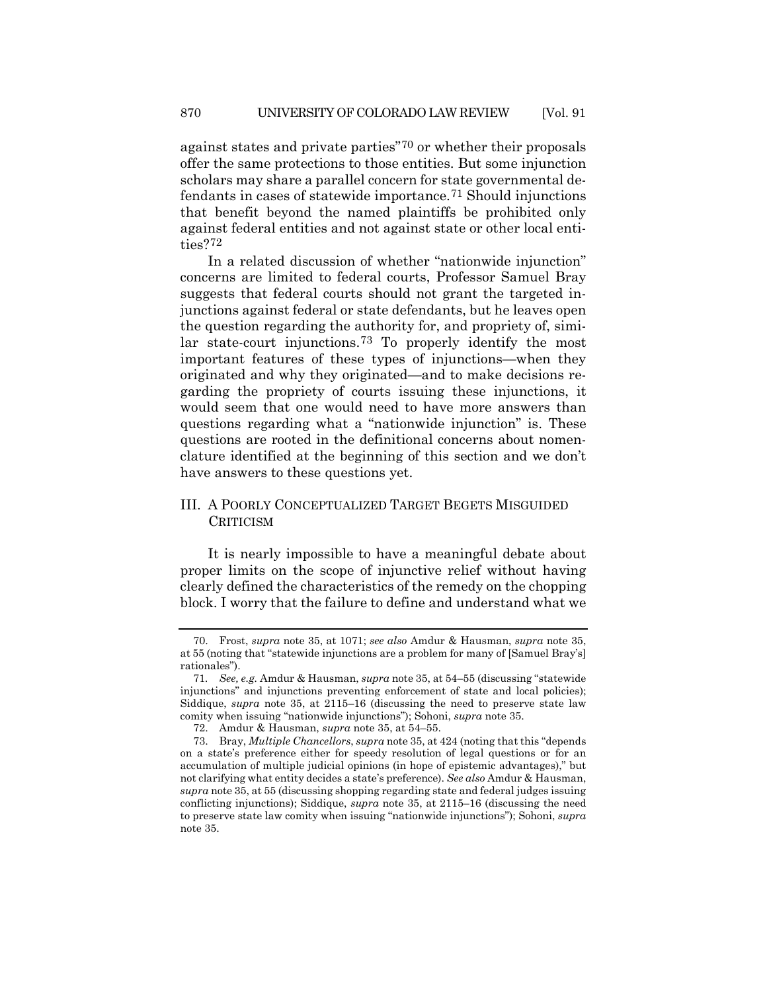against states and private parties"[70](#page-23-0) or whether their proposals offer the same protections to those entities. But some injunction scholars may share a parallel concern for state governmental defendants in cases of statewide importance.[71](#page-23-1) Should injunctions that benefit beyond the named plaintiffs be prohibited only against federal entities and not against state or other local entities?[72](#page-23-2)

In a related discussion of whether "nationwide injunction" concerns are limited to federal courts, Professor Samuel Bray suggests that federal courts should not grant the targeted injunctions against federal or state defendants, but he leaves open the question regarding the authority for, and propriety of, similar state-court injunctions.[73](#page-23-3) To properly identify the most important features of these types of injunctions—when they originated and why they originated—and to make decisions regarding the propriety of courts issuing these injunctions, it would seem that one would need to have more answers than questions regarding what a "nationwide injunction" is. These questions are rooted in the definitional concerns about nomenclature identified at the beginning of this section and we don't have answers to these questions yet.

### III. A POORLY CONCEPTUALIZED TARGET BEGETS MISGUIDED **CRITICISM**

It is nearly impossible to have a meaningful debate about proper limits on the scope of injunctive relief without having clearly defined the characteristics of the remedy on the chopping block. I worry that the failure to define and understand what we

<span id="page-23-0"></span><sup>70.</sup> Frost, *supra* note [35,](#page-12-3) at 1071; *see also* Amdur & Hausman, *supra* note [35,](#page-12-3) at 55 (noting that "statewide injunctions are a problem for many of [Samuel Bray's] rationales").

<span id="page-23-1"></span><sup>71</sup>*. See, e.g.* Amdur & Hausman, *supra* not[e 35,](#page-12-3) at 54–55 (discussing "statewide injunctions" and injunctions preventing enforcement of state and local policies); Siddique, *supra* note [35,](#page-12-3) at 2115–16 (discussing the need to preserve state law comity when issuing "nationwide injunctions"); Sohoni, *supra* not[e 35.](#page-12-3)

<sup>72.</sup> Amdur & Hausman, *supra* not[e 35,](#page-12-3) at 54–55.

<span id="page-23-3"></span><span id="page-23-2"></span><sup>73.</sup> Bray, *Multiple Chancellors*, *supra* not[e 35,](#page-12-3) at 424 (noting that this "depends on a state's preference either for speedy resolution of legal questions or for an accumulation of multiple judicial opinions (in hope of epistemic advantages)," but not clarifying what entity decides a state's preference). *See also* Amdur & Hausman, *supra* not[e 35,](#page-12-3) at 55 (discussing shopping regarding state and federal judges issuing conflicting injunctions); Siddique, *supra* note [35,](#page-12-3) at 2115–16 (discussing the need to preserve state law comity when issuing "nationwide injunctions"); Sohoni, *supra* not[e 35.](#page-12-3)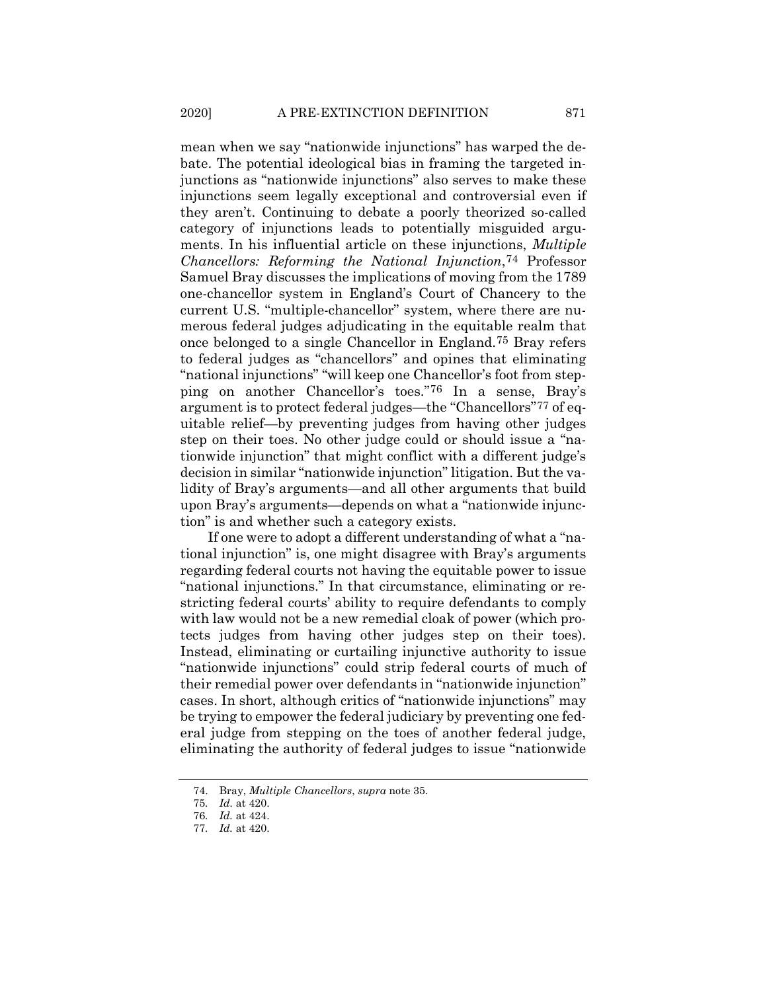mean when we say "nationwide injunctions" has warped the debate. The potential ideological bias in framing the targeted injunctions as "nationwide injunctions" also serves to make these injunctions seem legally exceptional and controversial even if they aren't. Continuing to debate a poorly theorized so-called category of injunctions leads to potentially misguided arguments. In his influential article on these injunctions, *Multiple Chancellors: Reforming the National Injunction*,[74](#page-24-0) Professor Samuel Bray discusses the implications of moving from the 1789 one-chancellor system in England's Court of Chancery to the current U.S. "multiple-chancellor" system, where there are numerous federal judges adjudicating in the equitable realm that once belonged to a single Chancellor in England[.75](#page-24-1) Bray refers to federal judges as "chancellors" and opines that eliminating "national injunctions" "will keep one Chancellor's foot from stepping on another Chancellor's toes."[76](#page-24-2) In a sense, Bray's argument is to protect federal judges—the "Chancellors"[77](#page-24-3) of equitable relief—by preventing judges from having other judges step on their toes. No other judge could or should issue a "nationwide injunction" that might conflict with a different judge's decision in similar "nationwide injunction" litigation. But the validity of Bray's arguments—and all other arguments that build upon Bray's arguments—depends on what a "nationwide injunction" is and whether such a category exists.

If one were to adopt a different understanding of what a "national injunction" is, one might disagree with Bray's arguments regarding federal courts not having the equitable power to issue "national injunctions." In that circumstance, eliminating or restricting federal courts' ability to require defendants to comply with law would not be a new remedial cloak of power (which protects judges from having other judges step on their toes). Instead, eliminating or curtailing injunctive authority to issue "nationwide injunctions" could strip federal courts of much of their remedial power over defendants in "nationwide injunction" cases. In short, although critics of "nationwide injunctions" may be trying to empower the federal judiciary by preventing one federal judge from stepping on the toes of another federal judge, eliminating the authority of federal judges to issue "nationwide

<span id="page-24-0"></span><sup>74.</sup> Bray, *Multiple Chancellors*, *supra* note [35.](#page-12-3)

<sup>75</sup>*. Id.* at 420.

<span id="page-24-2"></span><span id="page-24-1"></span><sup>76</sup>*. Id.* at 424.

<span id="page-24-3"></span><sup>77</sup>*. Id.* at 420.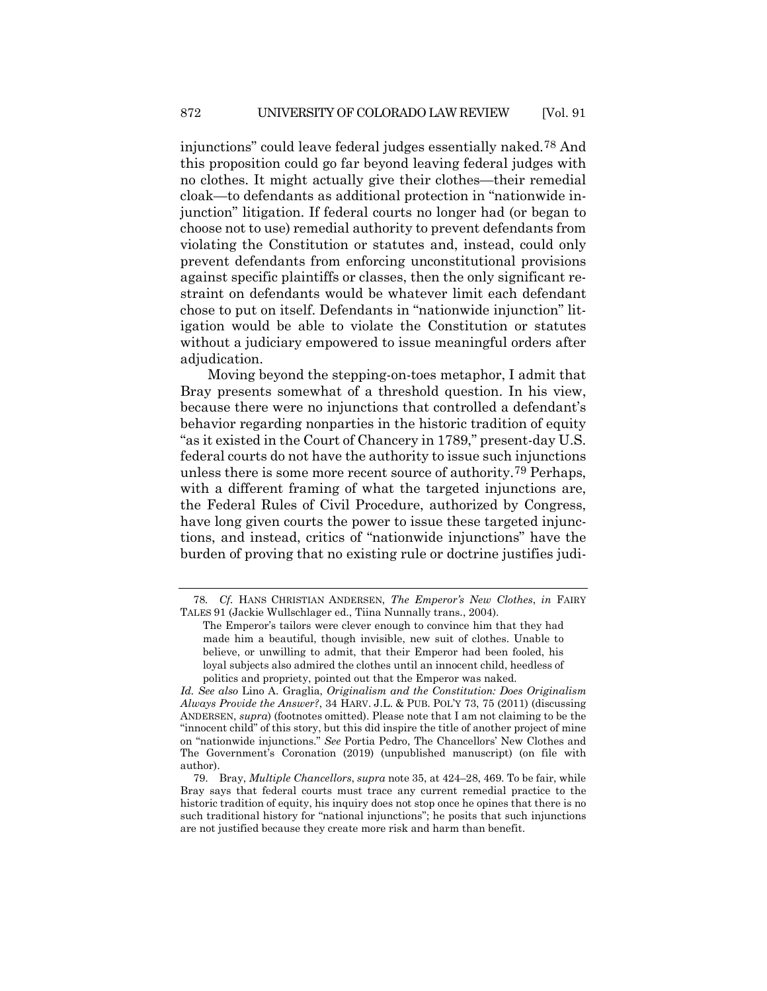injunctions" could leave federal judges essentially naked.[78](#page-25-0) And this proposition could go far beyond leaving federal judges with no clothes. It might actually give their clothes—their remedial cloak—to defendants as additional protection in "nationwide injunction" litigation. If federal courts no longer had (or began to choose not to use) remedial authority to prevent defendants from violating the Constitution or statutes and, instead, could only prevent defendants from enforcing unconstitutional provisions against specific plaintiffs or classes, then the only significant restraint on defendants would be whatever limit each defendant chose to put on itself. Defendants in "nationwide injunction" litigation would be able to violate the Constitution or statutes without a judiciary empowered to issue meaningful orders after adjudication.

Moving beyond the stepping-on-toes metaphor, I admit that Bray presents somewhat of a threshold question. In his view, because there were no injunctions that controlled a defendant's behavior regarding nonparties in the historic tradition of equity "as it existed in the Court of Chancery in 1789," present-day U.S. federal courts do not have the authority to issue such injunctions unless there is some more recent source of authority.[79](#page-25-1) Perhaps, with a different framing of what the targeted injunctions are, the Federal Rules of Civil Procedure, authorized by Congress, have long given courts the power to issue these targeted injunctions, and instead, critics of "nationwide injunctions" have the burden of proving that no existing rule or doctrine justifies judi-

<span id="page-25-0"></span><sup>78</sup>*. Cf.* HANS CHRISTIAN ANDERSEN, *The Emperor's New Clothes*, *in* FAIRY TALES 91 (Jackie Wullschlager ed., Tiina Nunnally trans., 2004).

The Emperor's tailors were clever enough to convince him that they had made him a beautiful, though invisible, new suit of clothes. Unable to believe, or unwilling to admit, that their Emperor had been fooled, his loyal subjects also admired the clothes until an innocent child, heedless of politics and propriety, pointed out that the Emperor was naked*.*

*Id. See also* Lino A. Graglia, *Originalism and the Constitution: Does Originalism Always Provide the Answer?*, 34 HARV. J.L. & PUB. POL'Y 73, 75 (2011) (discussing ANDERSEN, *supra*) (footnotes omitted). Please note that I am not claiming to be the "innocent child" of this story, but this did inspire the title of another project of mine on "nationwide injunctions." *See* Portia Pedro, The Chancellors' New Clothes and The Government's Coronation (2019) (unpublished manuscript) (on file with author).

<span id="page-25-1"></span><sup>79.</sup> Bray, *Multiple Chancellors*, *supra* note [35,](#page-12-3) at 424–28, 469. To be fair, while Bray says that federal courts must trace any current remedial practice to the historic tradition of equity, his inquiry does not stop once he opines that there is no such traditional history for "national injunctions"; he posits that such injunctions are not justified because they create more risk and harm than benefit.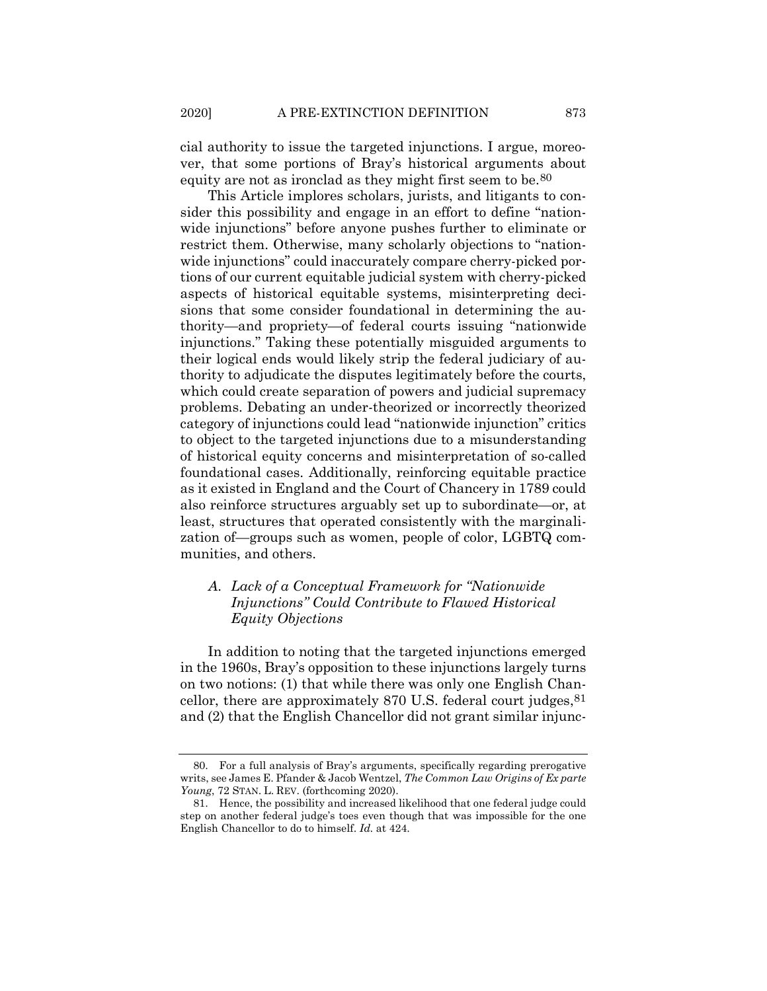<span id="page-26-2"></span>cial authority to issue the targeted injunctions. I argue, moreover, that some portions of Bray's historical arguments about equity are not as ironclad as they might first seem to be.<sup>[80](#page-26-0)</sup>

This Article implores scholars, jurists, and litigants to consider this possibility and engage in an effort to define "nationwide injunctions" before anyone pushes further to eliminate or restrict them. Otherwise, many scholarly objections to "nationwide injunctions" could inaccurately compare cherry-picked portions of our current equitable judicial system with cherry-picked aspects of historical equitable systems, misinterpreting decisions that some consider foundational in determining the authority—and propriety—of federal courts issuing "nationwide injunctions." Taking these potentially misguided arguments to their logical ends would likely strip the federal judiciary of authority to adjudicate the disputes legitimately before the courts, which could create separation of powers and judicial supremacy problems. Debating an under-theorized or incorrectly theorized category of injunctions could lead "nationwide injunction" critics to object to the targeted injunctions due to a misunderstanding of historical equity concerns and misinterpretation of so-called foundational cases. Additionally, reinforcing equitable practice as it existed in England and the Court of Chancery in 1789 could also reinforce structures arguably set up to subordinate—or, at least, structures that operated consistently with the marginalization of—groups such as women, people of color, LGBTQ communities, and others.

# *A. Lack of a Conceptual Framework for "Nationwide Injunctions" Could Contribute to Flawed Historical Equity Objections*

In addition to noting that the targeted injunctions emerged in the 1960s, Bray's opposition to these injunctions largely turns on two notions: (1) that while there was only one English Chancellor, there are approximately  $870$  U.S. federal court judges,  $81$ and (2) that the English Chancellor did not grant similar injunc-

<span id="page-26-0"></span><sup>80.</sup> For a full analysis of Bray's arguments, specifically regarding prerogative writs, see James E. Pfander & Jacob Wentzel, *The Common Law Origins of Ex parte Young*, 72 STAN. L. REV. (forthcoming 2020).

<span id="page-26-1"></span><sup>81.</sup> Hence, the possibility and increased likelihood that one federal judge could step on another federal judge's toes even though that was impossible for the one English Chancellor to do to himself. *Id.* at 424.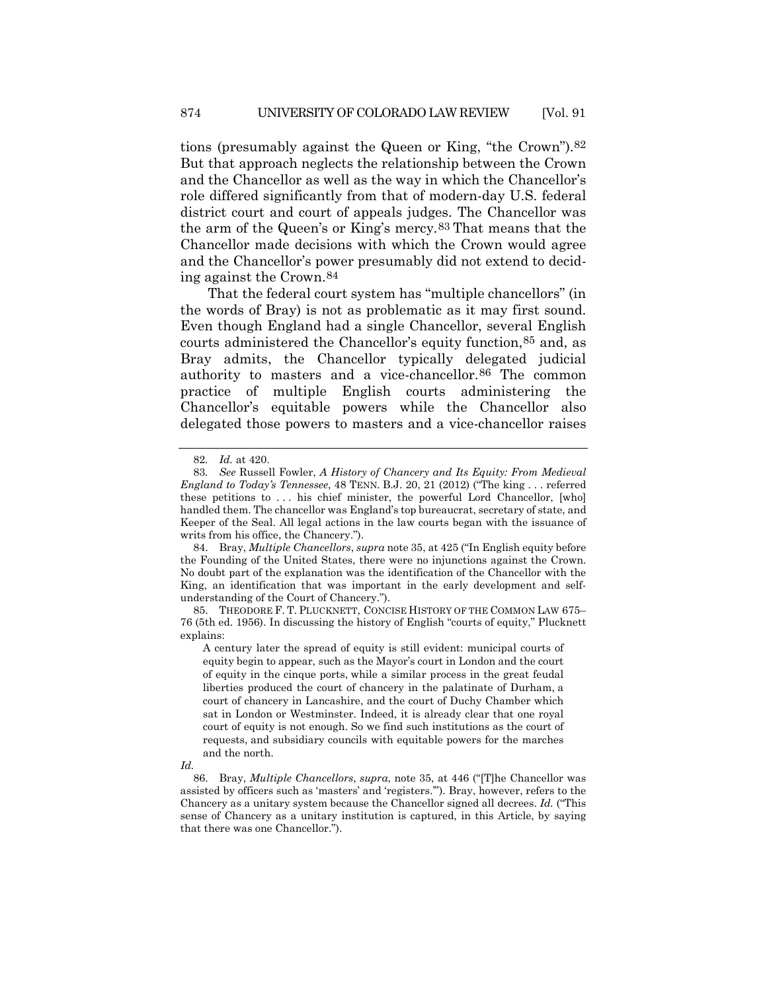tions (presumably against the Queen or King, "the Crown")[.82](#page-27-0) But that approach neglects the relationship between the Crown and the Chancellor as well as the way in which the Chancellor's role differed significantly from that of modern-day U.S. federal district court and court of appeals judges. The Chancellor was the arm of the Queen's or King's mercy.[83](#page-27-1) That means that the Chancellor made decisions with which the Crown would agree and the Chancellor's power presumably did not extend to deciding against the Crown.[84](#page-27-2)

That the federal court system has "multiple chancellors" (in the words of Bray) is not as problematic as it may first sound. Even though England had a single Chancellor, several English courts administered the Chancellor's equity function,[85](#page-27-3) and, as Bray admits, the Chancellor typically delegated judicial authority to masters and a vice-chancellor.[86](#page-27-4) The common practice of multiple English courts administering the Chancellor's equitable powers while the Chancellor also delegated those powers to masters and a vice-chancellor raises

<span id="page-27-2"></span>84. Bray, *Multiple Chancellors*, *supra* not[e 35,](#page-12-3) at 425 ("In English equity before the Founding of the United States, there were no injunctions against the Crown. No doubt part of the explanation was the identification of the Chancellor with the King, an identification that was important in the early development and selfunderstanding of the Court of Chancery.").

<span id="page-27-3"></span>85. THEODORE F. T. PLUCKNETT, CONCISE HISTORY OF THE COMMON LAW 675– 76 (5th ed. 1956). In discussing the history of English "courts of equity," Plucknett explains:

A century later the spread of equity is still evident: municipal courts of equity begin to appear, such as the Mayor's court in London and the court of equity in the cinque ports, while a similar process in the great feudal liberties produced the court of chancery in the palatinate of Durham, a court of chancery in Lancashire, and the court of Duchy Chamber which sat in London or Westminster. Indeed, it is already clear that one royal court of equity is not enough. So we find such institutions as the court of requests, and subsidiary councils with equitable powers for the marches and the north.

86. Bray, *Multiple Chancellors*, *supra*, note [35,](#page-12-3) at 446 ("[T]he Chancellor was assisted by officers such as 'masters' and 'registers.'"). Bray, however, refers to the Chancery as a unitary system because the Chancellor signed all decrees. *Id.* ("This sense of Chancery as a unitary institution is captured, in this Article, by saying that there was one Chancellor.").

<sup>82</sup>*. Id.* at 420.

<span id="page-27-1"></span><span id="page-27-0"></span><sup>83</sup>*. See* Russell Fowler, *A History of Chancery and Its Equity: From Medieval England to Today's Tennessee*, 48 TENN. B.J. 20, 21 (2012) ("The king . . . referred these petitions to . . . his chief minister, the powerful Lord Chancellor, [who] handled them. The chancellor was England's top bureaucrat, secretary of state, and Keeper of the Seal. All legal actions in the law courts began with the issuance of writs from his office, the Chancery.").

<span id="page-27-4"></span>*Id.*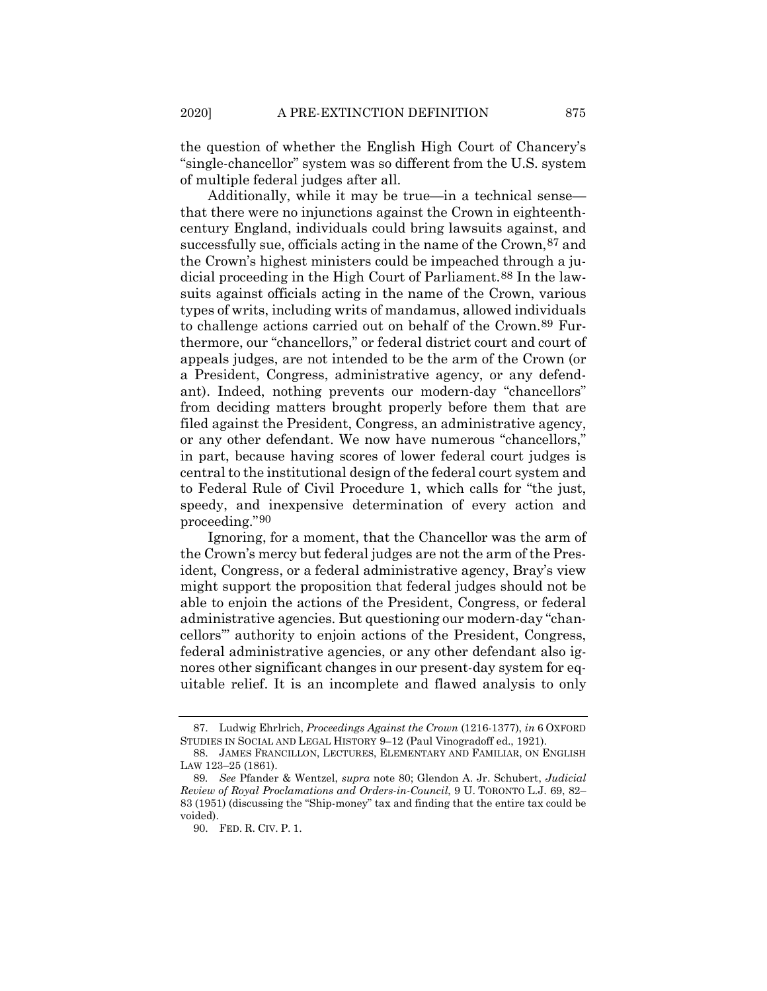the question of whether the English High Court of Chancery's "single-chancellor" system was so different from the U.S. system of multiple federal judges after all.

Additionally, while it may be true—in a technical sense that there were no injunctions against the Crown in eighteenthcentury England, individuals could bring lawsuits against, and successfully sue, officials acting in the name of the Crown,  $87$  and the Crown's highest ministers could be impeached through a judicial proceeding in the High Court of Parliament.[88](#page-28-1) In the lawsuits against officials acting in the name of the Crown, various types of writs, including writs of mandamus, allowed individuals to challenge actions carried out on behalf of the Crown.[89](#page-28-2) Furthermore, our "chancellors," or federal district court and court of appeals judges, are not intended to be the arm of the Crown (or a President, Congress, administrative agency, or any defendant). Indeed, nothing prevents our modern-day "chancellors" from deciding matters brought properly before them that are filed against the President, Congress, an administrative agency, or any other defendant. We now have numerous "chancellors," in part, because having scores of lower federal court judges is central to the institutional design of the federal court system and to Federal Rule of Civil Procedure 1, which calls for "the just, speedy, and inexpensive determination of every action and proceeding."[90](#page-28-3)

Ignoring, for a moment, that the Chancellor was the arm of the Crown's mercy but federal judges are not the arm of the President, Congress, or a federal administrative agency, Bray's view might support the proposition that federal judges should not be able to enjoin the actions of the President, Congress, or federal administrative agencies. But questioning our modern-day "chancellors'" authority to enjoin actions of the President, Congress, federal administrative agencies, or any other defendant also ignores other significant changes in our present-day system for equitable relief. It is an incomplete and flawed analysis to only

<span id="page-28-0"></span><sup>87.</sup> Ludwig Ehrlrich, *Proceedings Against the Crown* (1216-1377), *in* 6 OXFORD STUDIES IN SOCIAL AND LEGAL HISTORY 9–12 (Paul Vinogradoff ed., 1921).

<span id="page-28-1"></span><sup>88.</sup> JAMES FRANCILLON, LECTURES, ELEMENTARY AND FAMILIAR, ON ENGLISH LAW 123–25 (1861).

<span id="page-28-3"></span><span id="page-28-2"></span><sup>89</sup>*. See* Pfander & Wentzel, *supra* note [80;](#page-26-2) Glendon A. Jr. Schubert, *Judicial Review of Royal Proclamations and Orders-in-Council*, 9 U. TORONTO L.J. 69, 82– 83 (1951) (discussing the "Ship-money" tax and finding that the entire tax could be voided).

<sup>90.</sup> FED. R. CIV. P. 1.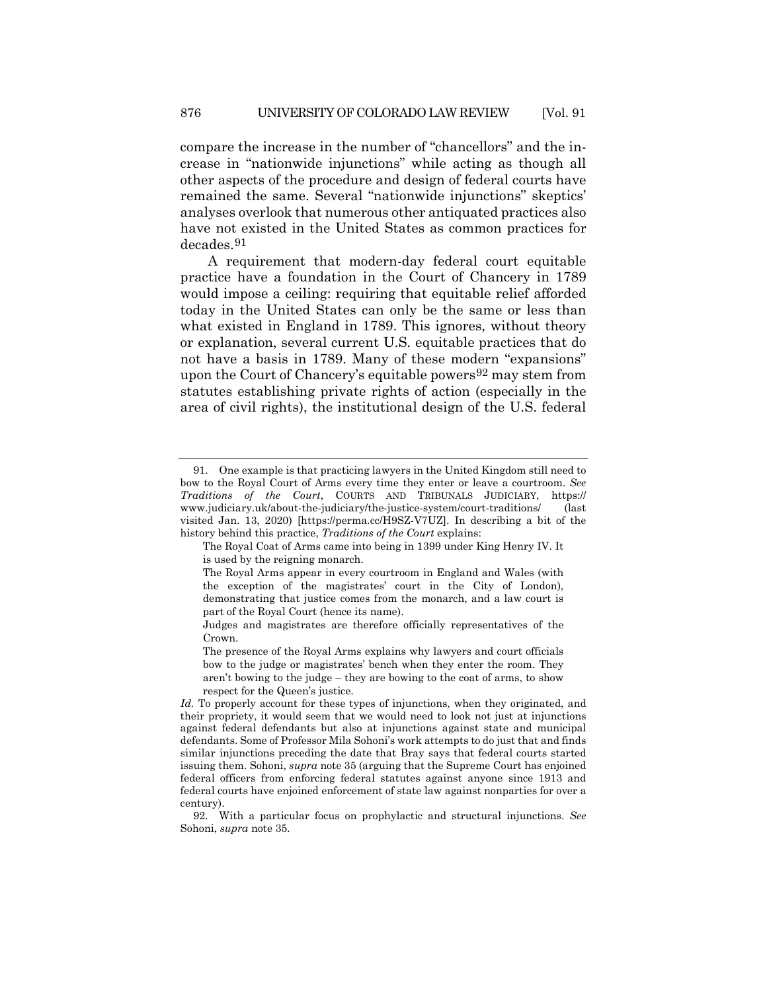compare the increase in the number of "chancellors" and the increase in "nationwide injunctions" while acting as though all other aspects of the procedure and design of federal courts have remained the same. Several "nationwide injunctions" skeptics' analyses overlook that numerous other antiquated practices also have not existed in the United States as common practices for decades.[91](#page-29-0)

A requirement that modern-day federal court equitable practice have a foundation in the Court of Chancery in 1789 would impose a ceiling: requiring that equitable relief afforded today in the United States can only be the same or less than what existed in England in 1789. This ignores, without theory or explanation, several current U.S. equitable practices that do not have a basis in 1789. Many of these modern "expansions" upon the Court of Chancery's equitable powers<sup>[92](#page-29-1)</sup> may stem from statutes establishing private rights of action (especially in the area of civil rights), the institutional design of the U.S. federal

<span id="page-29-0"></span><sup>91.</sup> One example is that practicing lawyers in the United Kingdom still need to bow to the Royal Court of Arms every time they enter or leave a courtroom. *See Traditions of the Court*, COURTS AND TRIBUNALS JUDICIARY, https:// www.judiciary.uk/about-the-judiciary/the-justice-system/court-traditions/ (last visited Jan. 13, 2020) [https://perma.cc/H9SZ-V7UZ]. In describing a bit of the history behind this practice, *Traditions of the Court* explains:

The Royal Coat of Arms came into being in 1399 under King Henry IV. It is used by the reigning monarch.

The Royal Arms appear in every courtroom in England and Wales (with the exception of the magistrates' court in the City of London), demonstrating that justice comes from the monarch, and a law court is part of the Royal Court (hence its name).

Judges and magistrates are therefore officially representatives of the Crown.

The presence of the Royal Arms explains why lawyers and court officials bow to the judge or magistrates' bench when they enter the room. They aren't bowing to the judge – they are bowing to the coat of arms, to show respect for the Queen's justice.

*Id.* To properly account for these types of injunctions, when they originated, and their propriety, it would seem that we would need to look not just at injunctions against federal defendants but also at injunctions against state and municipal defendants. Some of Professor Mila Sohoni's work attempts to do just that and finds similar injunctions preceding the date that Bray says that federal courts started issuing them. Sohoni, *supra* note [35](#page-12-3) (arguing that the Supreme Court has enjoined federal officers from enforcing federal statutes against anyone since 1913 and federal courts have enjoined enforcement of state law against nonparties for over a century).

<span id="page-29-1"></span><sup>92.</sup> With a particular focus on prophylactic and structural injunctions. *See* Sohoni, *supra* note [35](#page-12-3)*.*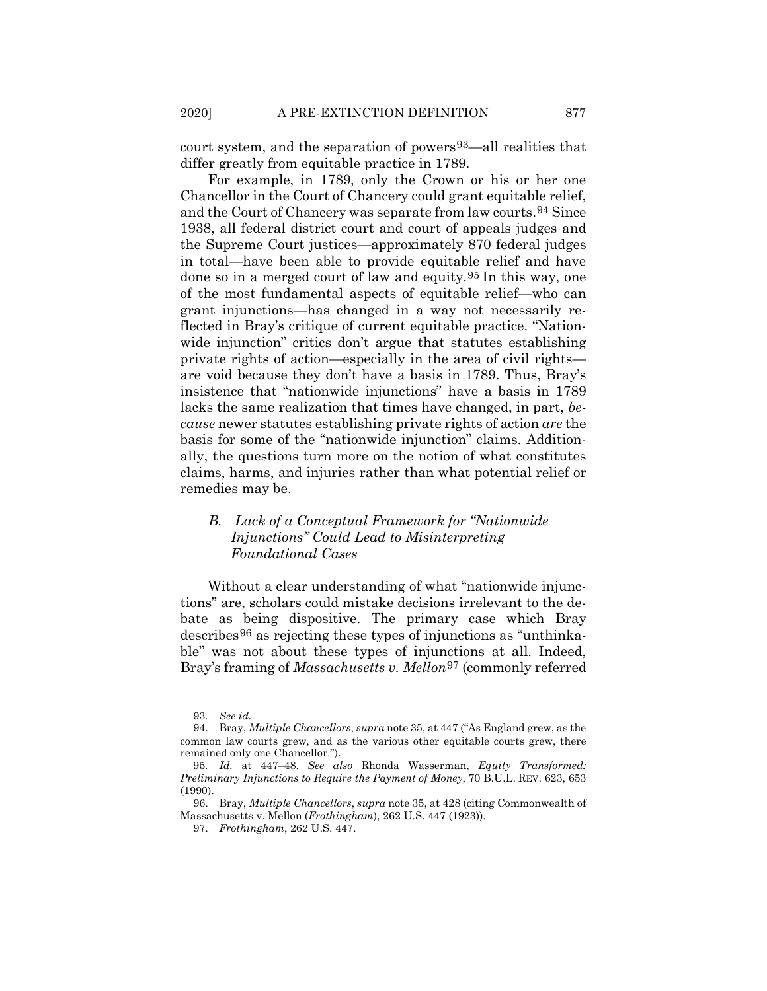court system, and the separation of powers<sup>[93](#page-30-0)</sup>—all realities that differ greatly from equitable practice in 1789.

For example, in 1789, only the Crown or his or her one Chancellor in the Court of Chancery could grant equitable relief, and the Court of Chancery was separate from law courts.[94](#page-30-1) Since 1938, all federal district court and court of appeals judges and the Supreme Court justices—approximately 870 federal judges in total—have been able to provide equitable relief and have done so in a merged court of law and equity.[95](#page-30-2) In this way, one of the most fundamental aspects of equitable relief—who can grant injunctions—has changed in a way not necessarily reflected in Bray's critique of current equitable practice. "Nationwide injunction" critics don't argue that statutes establishing private rights of action—especially in the area of civil rights are void because they don't have a basis in 1789. Thus, Bray's insistence that "nationwide injunctions" have a basis in 1789 lacks the same realization that times have changed, in part, *because* newer statutes establishing private rights of action *are* the basis for some of the "nationwide injunction" claims. Additionally, the questions turn more on the notion of what constitutes claims, harms, and injuries rather than what potential relief or remedies may be.

## *B. Lack of a Conceptual Framework for "Nationwide Injunctions" Could Lead to Misinterpreting Foundational Cases*

Without a clear understanding of what "nationwide injunctions" are, scholars could mistake decisions irrelevant to the debate as being dispositive. The primary case which Bray describes[96](#page-30-3) as rejecting these types of injunctions as "unthinkable" was not about these types of injunctions at all. Indeed, Bray's framing of *Massachusetts v. Mellon*[97](#page-30-4) (commonly referred

<sup>93</sup>*. See id.*

<span id="page-30-1"></span><span id="page-30-0"></span><sup>94.</sup> Bray, *Multiple Chancellors*, *supra* note [35,](#page-12-3) at 447 ("As England grew, as the common law courts grew, and as the various other equitable courts grew, there remained only one Chancellor.").

<span id="page-30-2"></span><sup>95</sup>*. Id.* at 447–48. *See also* Rhonda Wasserman, *Equity Transformed: Preliminary Injunctions to Require the Payment of Money*, 70 B.U.L. REV. 623, 653 (1990).

<span id="page-30-4"></span><span id="page-30-3"></span><sup>96.</sup> Bray, *Multiple Chancellors*, *supra* not[e 35,](#page-12-3) at 428 (citing Commonwealth of Massachusetts v. Mellon (*Frothingham*), 262 U.S. 447 (1923)).

<sup>97.</sup> *Frothingham*, 262 U.S. 447.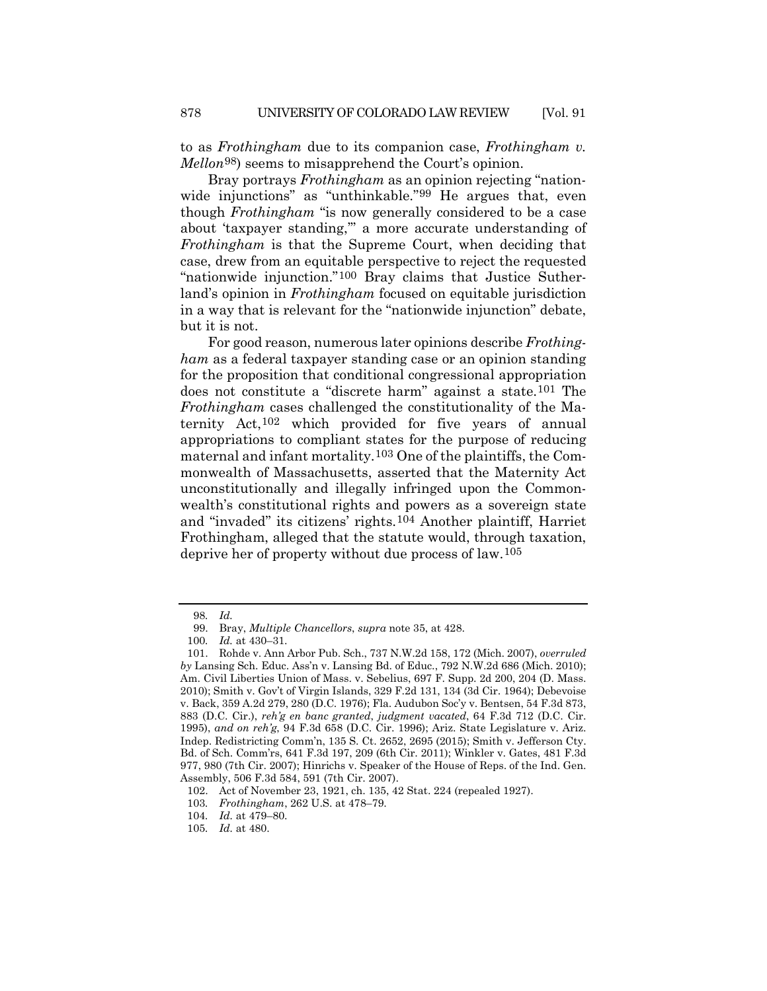to as *Frothingham* due to its companion case, *Frothingham v. Mellon*[98\)](#page-31-0) seems to misapprehend the Court's opinion.

Bray portrays *Frothingham* as an opinion rejecting "nation-wide injunctions" as "unthinkable."<sup>[99](#page-31-1)</sup> He argues that, even though *Frothingham* "is now generally considered to be a case about 'taxpayer standing,'" a more accurate understanding of *Frothingham* is that the Supreme Court, when deciding that case, drew from an equitable perspective to reject the requested "nationwide injunction.["100](#page-31-2) Bray claims that Justice Sutherland's opinion in *Frothingham* focused on equitable jurisdiction in a way that is relevant for the "nationwide injunction" debate, but it is not.

For good reason, numerous later opinions describe *Frothingham* as a federal taxpayer standing case or an opinion standing for the proposition that conditional congressional appropriation does not constitute a "discrete harm" against a state.[101](#page-31-3) The *Frothingham* cases challenged the constitutionality of the Maternity Act,[102](#page-31-4) which provided for five years of annual appropriations to compliant states for the purpose of reducing maternal and infant mortality.[103](#page-31-5) One of the plaintiffs, the Commonwealth of Massachusetts, asserted that the Maternity Act unconstitutionally and illegally infringed upon the Commonwealth's constitutional rights and powers as a sovereign state and "invaded" its citizens' rights.[104](#page-31-6) Another plaintiff, Harriet Frothingham, alleged that the statute would, through taxation, deprive her of property without due process of law[.105](#page-31-7)

<sup>98</sup>*. Id.*

<sup>99.</sup> Bray, *Multiple Chancellors*, *supra* note [35,](#page-12-3) at 428.

<sup>100</sup>*. Id.* at 430–31.

<span id="page-31-3"></span><span id="page-31-2"></span><span id="page-31-1"></span><span id="page-31-0"></span><sup>101.</sup> Rohde v. Ann Arbor Pub. Sch., 737 N.W.2d 158, 172 (Mich. 2007), *overruled by* Lansing Sch. Educ. Ass'n v. Lansing Bd. of Educ., 792 N.W.2d 686 (Mich. 2010); Am. Civil Liberties Union of Mass. v. Sebelius, 697 F. Supp. 2d 200, 204 (D. Mass. 2010); Smith v. Gov't of Virgin Islands, 329 F.2d 131, 134 (3d Cir. 1964); Debevoise v. Back, 359 A.2d 279, 280 (D.C. 1976); Fla. Audubon Soc'y v. Bentsen, 54 F.3d 873, 883 (D.C. Cir.), *reh'g en banc granted*, *judgment vacated*, 64 F.3d 712 (D.C. Cir. 1995), *and on reh'g*, 94 F.3d 658 (D.C. Cir. 1996); Ariz. State Legislature v. Ariz. Indep. Redistricting Comm'n, 135 S. Ct. 2652, 2695 (2015); Smith v. Jefferson Cty. Bd. of Sch. Comm'rs, 641 F.3d 197, 209 (6th Cir. 2011); Winkler v. Gates, 481 F.3d 977, 980 (7th Cir. 2007); Hinrichs v. Speaker of the House of Reps. of the Ind. Gen. Assembly, 506 F.3d 584, 591 (7th Cir. 2007).

<span id="page-31-4"></span><sup>102.</sup> Act of November 23, 1921, ch. 135, 42 Stat. 224 (repealed 1927).

<span id="page-31-6"></span><span id="page-31-5"></span><sup>103</sup>*. Frothingham*, 262 U.S. at 478–79.

<sup>104</sup>*. Id.* at 479–80.

<span id="page-31-7"></span><sup>105</sup>*. Id.* at 480.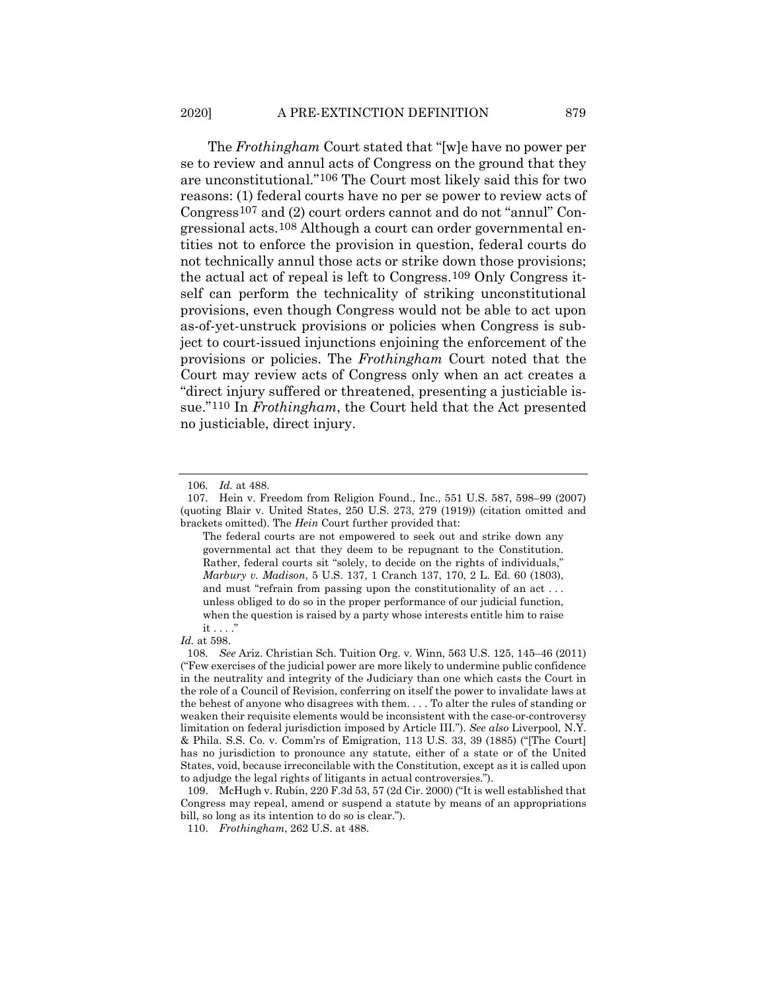The *Frothingham* Court stated that "[w]e have no power per se to review and annul acts of Congress on the ground that they are unconstitutional."[106](#page-32-0) The Court most likely said this for two reasons: (1) federal courts have no per se power to review acts of Congress[107](#page-32-1) and (2) court orders cannot and do not "annul" Congressional acts.[108](#page-32-2) Although a court can order governmental entities not to enforce the provision in question, federal courts do not technically annul those acts or strike down those provisions; the actual act of repeal is left to Congress.[109](#page-32-3) Only Congress itself can perform the technicality of striking unconstitutional provisions, even though Congress would not be able to act upon as-of-yet-unstruck provisions or policies when Congress is subject to court-issued injunctions enjoining the enforcement of the provisions or policies. The *Frothingham* Court noted that the Court may review acts of Congress only when an act creates a "direct injury suffered or threatened, presenting a justiciable issue."[110](#page-32-4) In *Frothingham*, the Court held that the Act presented no justiciable, direct injury.

The federal courts are not empowered to seek out and strike down any governmental act that they deem to be repugnant to the Constitution. Rather, federal courts sit "solely, to decide on the rights of individuals," *Marbury v. Madison*, 5 U.S. 137, 1 Cranch 137, 170, 2 L. Ed. 60 (1803), and must "refrain from passing upon the constitutionality of an act . . . unless obliged to do so in the proper performance of our judicial function, when the question is raised by a party whose interests entitle him to raise it . . . ."

<span id="page-32-4"></span><span id="page-32-3"></span>109. McHugh v. Rubin, 220 F.3d 53, 57 (2d Cir. 2000) ("It is well established that Congress may repeal, amend or suspend a statute by means of an appropriations bill, so long as its intention to do so is clear.").

<sup>106</sup>*. Id.* at 488.

<span id="page-32-1"></span><span id="page-32-0"></span><sup>107.</sup> Hein v. Freedom from Religion Found., Inc., 551 U.S. 587, 598–99 (2007) (quoting Blair v. United States, 250 U.S. 273, 279 (1919)) (citation omitted and brackets omitted). The *Hein* Court further provided that:

*Id.* at 598.

<span id="page-32-2"></span><sup>108</sup>*. See* Ariz. Christian Sch. Tuition Org. v. Winn, 563 U.S. 125, 145–46 (2011) ("Few exercises of the judicial power are more likely to undermine public confidence in the neutrality and integrity of the Judiciary than one which casts the Court in the role of a Council of Revision, conferring on itself the power to invalidate laws at the behest of anyone who disagrees with them. . . . To alter the rules of standing or weaken their requisite elements would be inconsistent with the case-or-controversy limitation on federal jurisdiction imposed by Article III."). *See also* Liverpool, N.Y. & Phila. S.S. Co. v. Comm'rs of Emigration, 113 U.S. 33, 39 (1885) ("[The Court] has no jurisdiction to pronounce any statute, either of a state or of the United States, void, because irreconcilable with the Constitution, except as it is called upon to adjudge the legal rights of litigants in actual controversies.").

<sup>110.</sup> *Frothingham*, 262 U.S. at 488.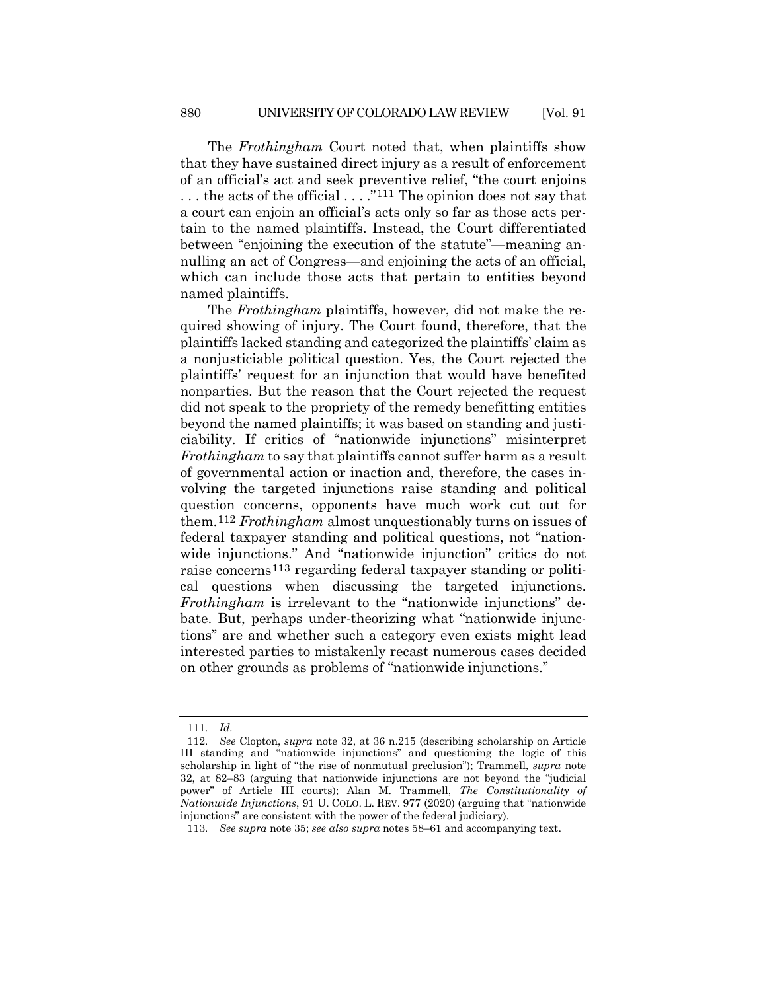The *Frothingham* Court noted that, when plaintiffs show that they have sustained direct injury as a result of enforcement of an official's act and seek preventive relief, "the court enjoins  $\dots$  the acts of the official  $\dots$ ."<sup>[111](#page-33-0)</sup> The opinion does not say that a court can enjoin an official's acts only so far as those acts pertain to the named plaintiffs. Instead, the Court differentiated between "enjoining the execution of the statute"—meaning annulling an act of Congress—and enjoining the acts of an official, which can include those acts that pertain to entities beyond named plaintiffs.

The *Frothingham* plaintiffs, however, did not make the required showing of injury. The Court found, therefore, that the plaintiffs lacked standing and categorized the plaintiffs' claim as a nonjusticiable political question. Yes, the Court rejected the plaintiffs' request for an injunction that would have benefited nonparties. But the reason that the Court rejected the request did not speak to the propriety of the remedy benefitting entities beyond the named plaintiffs; it was based on standing and justiciability. If critics of "nationwide injunctions" misinterpret *Frothingham* to say that plaintiffs cannot suffer harm as a result of governmental action or inaction and, therefore, the cases involving the targeted injunctions raise standing and political question concerns, opponents have much work cut out for them.[112](#page-33-1) *Frothingham* almost unquestionably turns on issues of federal taxpayer standing and political questions, not "nationwide injunctions." And "nationwide injunction" critics do not raise concerns<sup>[113](#page-33-2)</sup> regarding federal taxpayer standing or political questions when discussing the targeted injunctions. *Frothingham* is irrelevant to the "nationwide injunctions" debate. But, perhaps under-theorizing what "nationwide injunctions" are and whether such a category even exists might lead interested parties to mistakenly recast numerous cases decided on other grounds as problems of "nationwide injunctions."

<sup>111</sup>*. Id.*

<span id="page-33-1"></span><span id="page-33-0"></span><sup>112</sup>*. See* Clopton, *supra* note [32,](#page-9-1) at 36 n.215 (describing scholarship on Article III standing and "nationwide injunctions" and questioning the logic of this scholarship in light of "the rise of nonmutual preclusion"); Trammell, *supra* note [32,](#page-9-1) at 82–83 (arguing that nationwide injunctions are not beyond the "judicial power" of Article III courts); Alan M. Trammell, *The Constitutionality of Nationwide Injunctions*, 91 U. COLO. L. REV. 977 (2020) (arguing that "nationwide injunctions" are consistent with the power of the federal judiciary).

<span id="page-33-2"></span><sup>113</sup>*. See supra* note [35;](#page-12-3) *see also supra* notes [58–](#page-19-1)[61](#page-20-3) and accompanying text.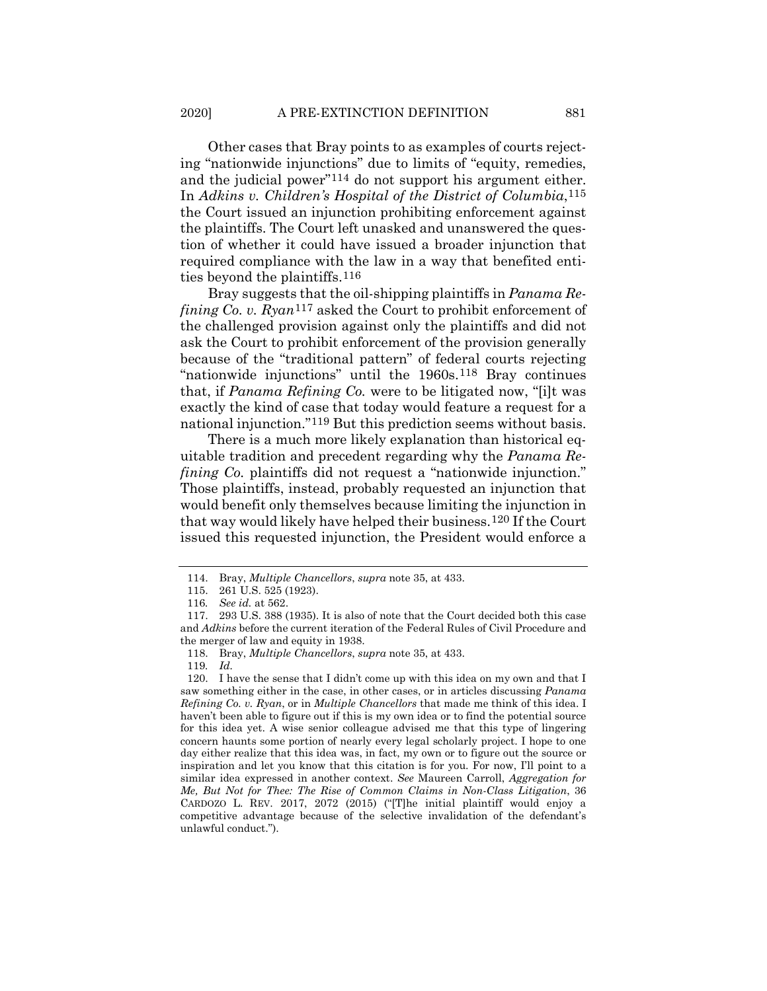Other cases that Bray points to as examples of courts rejecting "nationwide injunctions" due to limits of "equity, remedies, and the judicial power["114](#page-34-0) do not support his argument either. In *Adkins v. Children's Hospital of the District of Columbia*,[115](#page-34-1) the Court issued an injunction prohibiting enforcement against the plaintiffs. The Court left unasked and unanswered the question of whether it could have issued a broader injunction that required compliance with the law in a way that benefited entities beyond the plaintiffs.[116](#page-34-2)

Bray suggests that the oil-shipping plaintiffs in *Panama Refining Co. v. Ryan*[117](#page-34-3) asked the Court to prohibit enforcement of the challenged provision against only the plaintiffs and did not ask the Court to prohibit enforcement of the provision generally because of the "traditional pattern" of federal courts rejecting "nationwide injunctions" until the 1960s.<sup>[118](#page-34-4)</sup> Bray continues that, if *Panama Refining Co.* were to be litigated now, "[i]t was exactly the kind of case that today would feature a request for a national injunction."[119](#page-34-5) But this prediction seems without basis.

There is a much more likely explanation than historical equitable tradition and precedent regarding why the *Panama Refining Co.* plaintiffs did not request a "nationwide injunction." Those plaintiffs, instead, probably requested an injunction that would benefit only themselves because limiting the injunction in that way would likely have helped their business.[120](#page-34-6) If the Court issued this requested injunction, the President would enforce a

<sup>114.</sup> Bray, *Multiple Chancellors*, *supra* note [35,](#page-12-3) at 433.

<sup>115.</sup> 261 U.S. 525 (1923).

<sup>116</sup>*. See id.* at 562.

<span id="page-34-3"></span><span id="page-34-2"></span><span id="page-34-1"></span><span id="page-34-0"></span><sup>117.</sup> 293 U.S. 388 (1935). It is also of note that the Court decided both this case and *Adkins* before the current iteration of the Federal Rules of Civil Procedure and the merger of law and equity in 1938.

<sup>118.</sup> Bray, *Multiple Chancellors*, *supra* note [35,](#page-12-3) at 433.

<sup>119</sup>*. Id.*

<span id="page-34-6"></span><span id="page-34-5"></span><span id="page-34-4"></span><sup>120.</sup> I have the sense that I didn't come up with this idea on my own and that I saw something either in the case, in other cases, or in articles discussing *Panama Refining Co. v. Ryan*, or in *Multiple Chancellors* that made me think of this idea. I haven't been able to figure out if this is my own idea or to find the potential source for this idea yet. A wise senior colleague advised me that this type of lingering concern haunts some portion of nearly every legal scholarly project. I hope to one day either realize that this idea was, in fact, my own or to figure out the source or inspiration and let you know that this citation is for you. For now, I'll point to a similar idea expressed in another context. *See* Maureen Carroll, *Aggregation for Me, But Not for Thee: The Rise of Common Claims in Non-Class Litigation*, 36 CARDOZO L. REV. 2017, 2072 (2015) ("[T]he initial plaintiff would enjoy a competitive advantage because of the selective invalidation of the defendant's unlawful conduct.").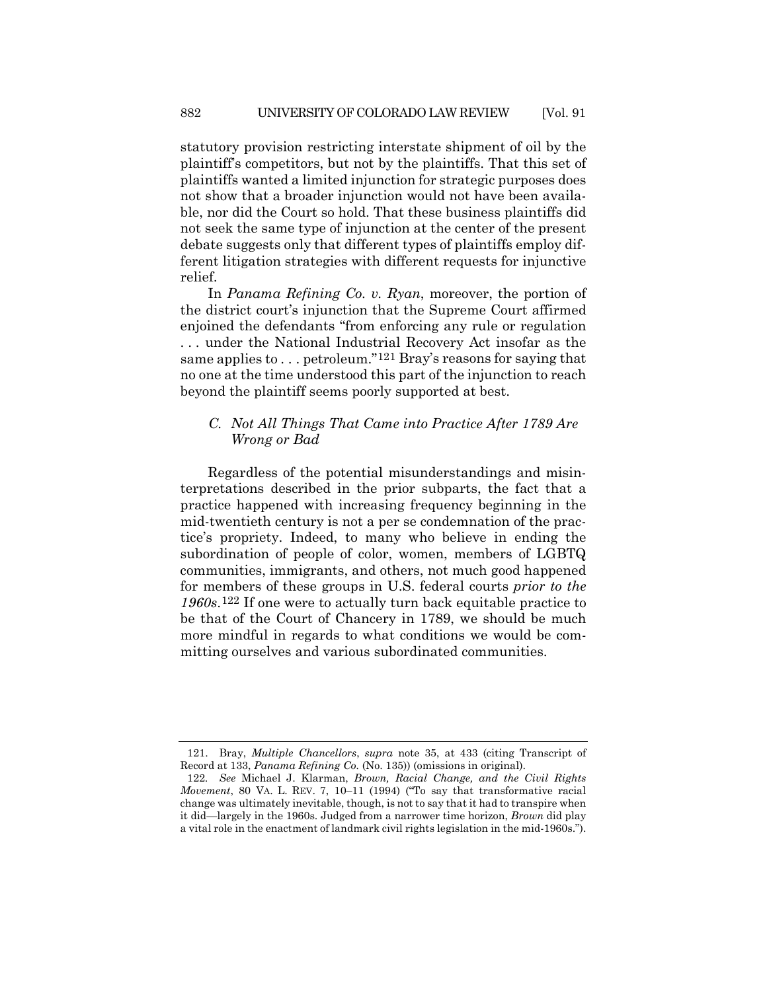statutory provision restricting interstate shipment of oil by the plaintiff's competitors, but not by the plaintiffs. That this set of plaintiffs wanted a limited injunction for strategic purposes does not show that a broader injunction would not have been available, nor did the Court so hold. That these business plaintiffs did not seek the same type of injunction at the center of the present debate suggests only that different types of plaintiffs employ different litigation strategies with different requests for injunctive relief.

In *Panama Refining Co. v. Ryan*, moreover, the portion of the district court's injunction that the Supreme Court affirmed enjoined the defendants "from enforcing any rule or regulation . . . under the National Industrial Recovery Act insofar as the same applies to . . . petroleum."[121](#page-35-0) Bray's reasons for saying that no one at the time understood this part of the injunction to reach beyond the plaintiff seems poorly supported at best.

### *C. Not All Things That Came into Practice After 1789 Are Wrong or Bad*

Regardless of the potential misunderstandings and misinterpretations described in the prior subparts, the fact that a practice happened with increasing frequency beginning in the mid-twentieth century is not a per se condemnation of the practice's propriety. Indeed, to many who believe in ending the subordination of people of color, women, members of LGBTQ communities, immigrants, and others, not much good happened for members of these groups in U.S. federal courts *prior to the 1960s*.[122](#page-35-1) If one were to actually turn back equitable practice to be that of the Court of Chancery in 1789, we should be much more mindful in regards to what conditions we would be committing ourselves and various subordinated communities.

<span id="page-35-0"></span><sup>121.</sup> Bray, *Multiple Chancellors*, *supra* note [35,](#page-12-3) at 433 (citing Transcript of Record at 133, *Panama Refining Co.* (No. 135)) (omissions in original).

<span id="page-35-1"></span><sup>122</sup>*. See* Michael J. Klarman, *Brown, Racial Change, and the Civil Rights Movement*, 80 VA. L. REV. 7, 10–11 (1994) ("To say that transformative racial change was ultimately inevitable, though, is not to say that it had to transpire when it did—largely in the 1960s. Judged from a narrower time horizon, *Brown* did play a vital role in the enactment of landmark civil rights legislation in the mid-1960s.").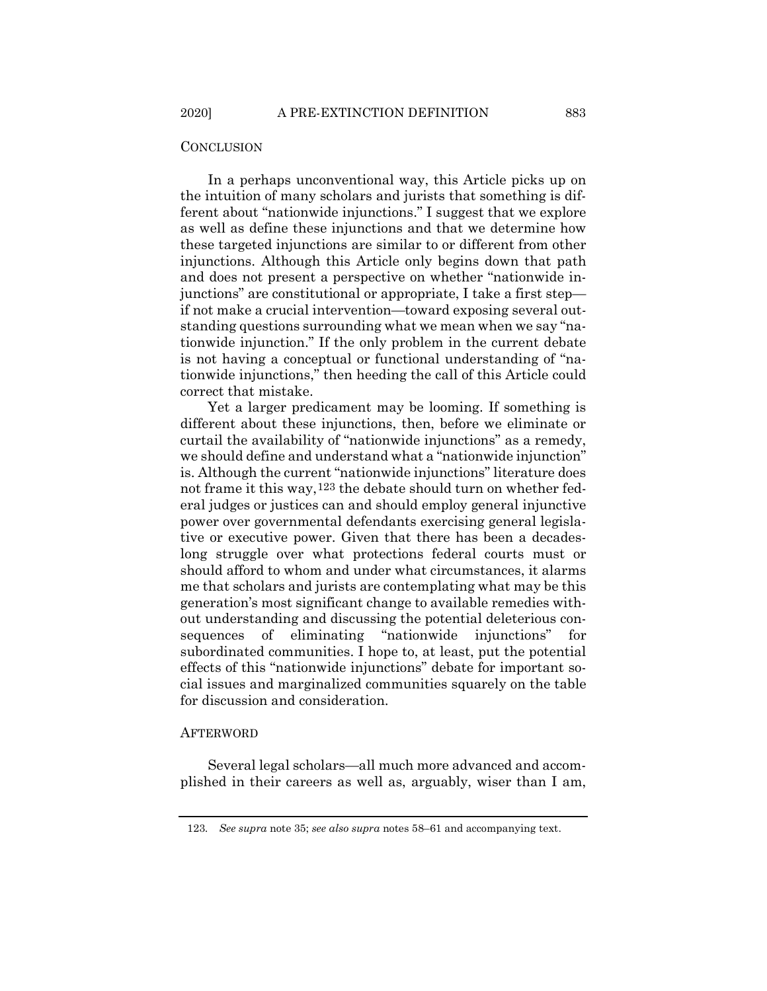### **CONCLUSION**

In a perhaps unconventional way, this Article picks up on the intuition of many scholars and jurists that something is different about "nationwide injunctions." I suggest that we explore as well as define these injunctions and that we determine how these targeted injunctions are similar to or different from other injunctions. Although this Article only begins down that path and does not present a perspective on whether "nationwide injunctions" are constitutional or appropriate, I take a first step if not make a crucial intervention—toward exposing several outstanding questions surrounding what we mean when we say "nationwide injunction." If the only problem in the current debate is not having a conceptual or functional understanding of "nationwide injunctions," then heeding the call of this Article could correct that mistake.

Yet a larger predicament may be looming. If something is different about these injunctions, then, before we eliminate or curtail the availability of "nationwide injunctions" as a remedy, we should define and understand what a "nationwide injunction" is. Although the current "nationwide injunctions" literature does not frame it this way,[123](#page-36-0) the debate should turn on whether federal judges or justices can and should employ general injunctive power over governmental defendants exercising general legislative or executive power. Given that there has been a decadeslong struggle over what protections federal courts must or should afford to whom and under what circumstances, it alarms me that scholars and jurists are contemplating what may be this generation's most significant change to available remedies without understanding and discussing the potential deleterious consequences of eliminating "nationwide injunctions" for subordinated communities. I hope to, at least, put the potential effects of this "nationwide injunctions" debate for important social issues and marginalized communities squarely on the table for discussion and consideration.

#### AFTERWORD

Several legal scholars—all much more advanced and accomplished in their careers as well as, arguably, wiser than I am,

<span id="page-36-0"></span><sup>123</sup>*. See supra* note [35;](#page-12-3) *see also supra* notes [58–](#page-19-1)[61](#page-20-3) and accompanying text.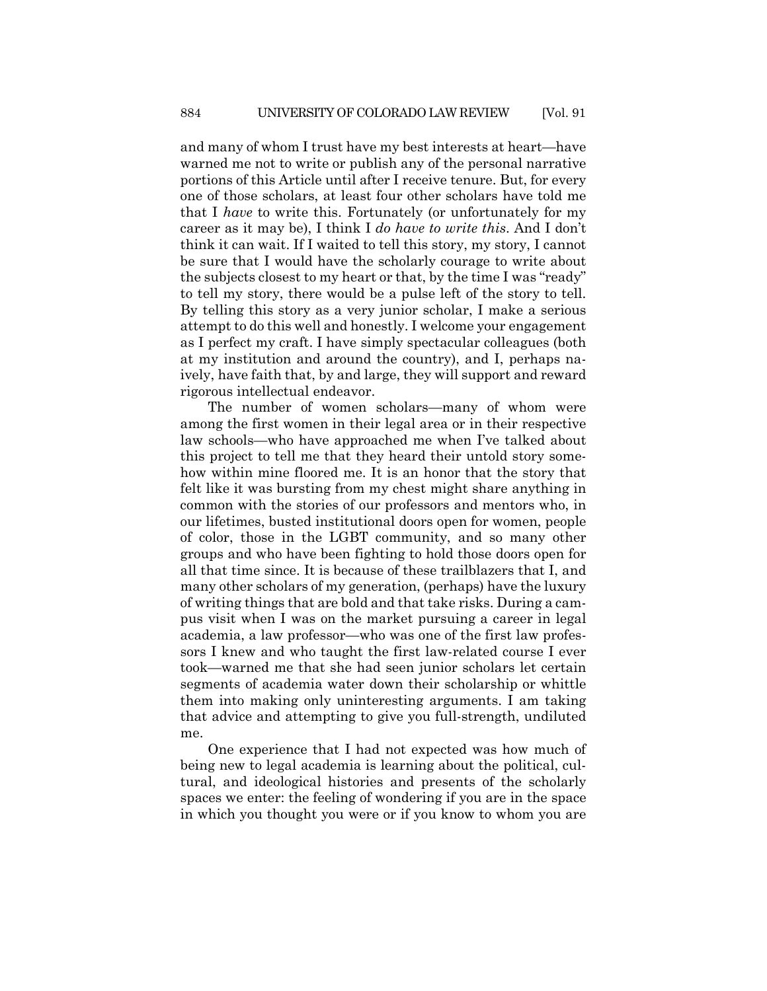and many of whom I trust have my best interests at heart—have warned me not to write or publish any of the personal narrative portions of this Article until after I receive tenure. But, for every one of those scholars, at least four other scholars have told me that I *have* to write this. Fortunately (or unfortunately for my career as it may be), I think I *do have to write this*. And I don't think it can wait. If I waited to tell this story, my story, I cannot be sure that I would have the scholarly courage to write about the subjects closest to my heart or that, by the time I was "ready" to tell my story, there would be a pulse left of the story to tell. By telling this story as a very junior scholar, I make a serious attempt to do this well and honestly. I welcome your engagement as I perfect my craft. I have simply spectacular colleagues (both at my institution and around the country), and I, perhaps naively, have faith that, by and large, they will support and reward rigorous intellectual endeavor.

The number of women scholars—many of whom were among the first women in their legal area or in their respective law schools—who have approached me when I've talked about this project to tell me that they heard their untold story somehow within mine floored me. It is an honor that the story that felt like it was bursting from my chest might share anything in common with the stories of our professors and mentors who, in our lifetimes, busted institutional doors open for women, people of color, those in the LGBT community, and so many other groups and who have been fighting to hold those doors open for all that time since. It is because of these trailblazers that I, and many other scholars of my generation, (perhaps) have the luxury of writing things that are bold and that take risks. During a campus visit when I was on the market pursuing a career in legal academia, a law professor—who was one of the first law professors I knew and who taught the first law-related course I ever took—warned me that she had seen junior scholars let certain segments of academia water down their scholarship or whittle them into making only uninteresting arguments. I am taking that advice and attempting to give you full-strength, undiluted me.

One experience that I had not expected was how much of being new to legal academia is learning about the political, cultural, and ideological histories and presents of the scholarly spaces we enter: the feeling of wondering if you are in the space in which you thought you were or if you know to whom you are